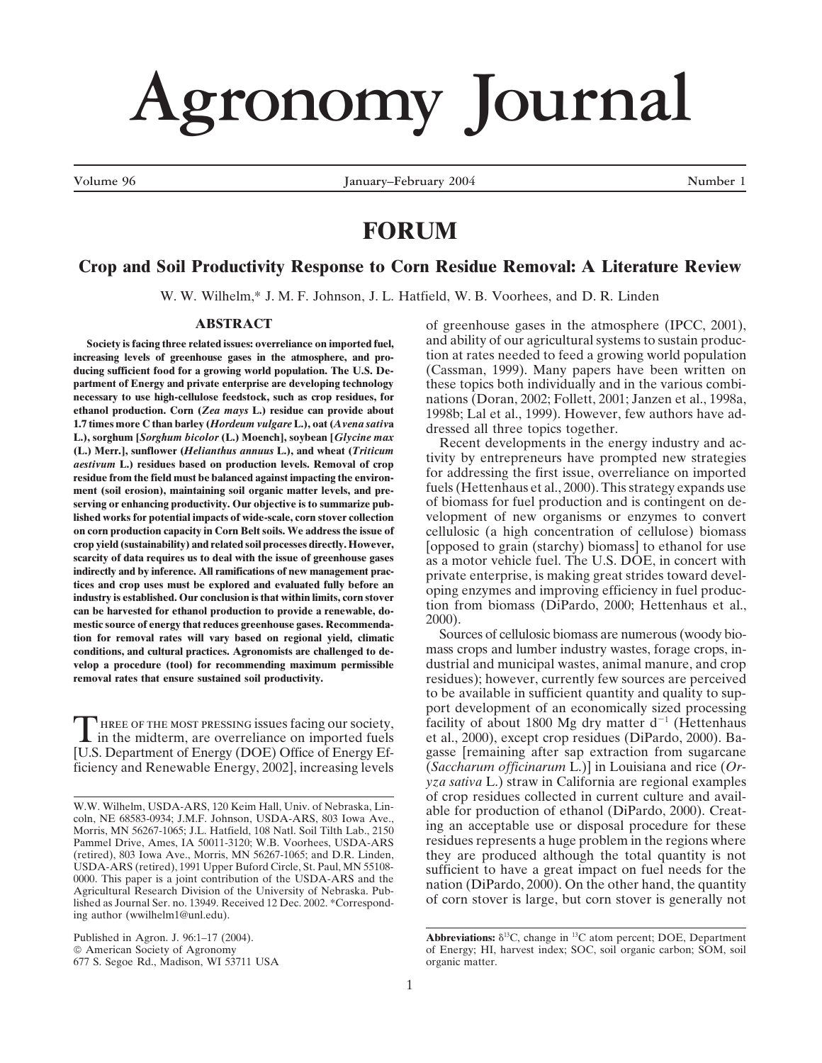# **Agronomy Journal**

Volume 96 **January–February 2004** January–February 2004

## **FORUM**

### **Crop and Soil Productivity Response to Corn Residue Removal: A Literature Review**

W. W. Wilhelm,\* J. M. F. Johnson, J. L. Hatfield, W. B. Voorhees, and D. R. Linden

**increasing levels of greenhouse gases in the atmosphere, and pro-** tion at rates needed to feed a growing world population ducing sufficient food for a growing world population. The U.S. De-<br>
partment of Energy and private enterprise are developing technology<br>
these topics both individually and in the various combi**partment of Energy and private enterprise are developing technology** these topics both individually and in the various combi-<br>**necessary** to use high-cellulose feedstock, such as crop residues, for nations (Doran 2002: Fo necessary to use high-cellulose feedstock, such as crop residues, for<br>
ethanol production. Corn (Zea mays L.) residue can provide about<br>
1.7 times more C than barley (Hordeum vulgare L.), oat (Avena sativa<br>
1.7 times more **residue from the field must be balanced against impacting the environ-**<br>ment (soil erosion), maintaining soil organic matter levels, and pre-<br>fuels (Hettenhaus et al., 2000). This strategy expands use **serving or enhancing productivity. Our objective is to summarize pub-** of biomass for fuel production and is contingent on de**lished works for potential impacts of wide-scale, corn stover collection** velopment of new organisms or enzymes to convert **on corn production capacity in Corn Belt soils. We address the issue of** cellulosic (a high concentration of cellulose) biomass **crop yield (sustainability) and related soil processes directly. However,** [opposed to grain crop yield (sustainability) and related soil processes directly. However,<br>
scarcity of data requires us to deal with the issue of greenhouse gases<br>
indirectly and by inference. All ramifications of new management prac-<br>
in **can be harvested for ethanol production to provide a renewable, do-**  $\frac{1001 \text{ m}}{2000}$ . Sources of cellulosic biomass are numerous (woody bio- **tion for removal rates will vary based on regional yield, climatic conditions, and cultural practices. Agronomists are challenged to de-** mass crops and lumber industry wastes, forage crops, in-

[U.S. Department of Energy (DOE) Office of Energy Ef- gasse [remaining after sap extraction from sugarcane ficiency and Renewable Energy, 2002], increasing levels (*Saccharum officinarum* L.)] in Louisiana and rice (*Or-*

677 S. Segoe Rd., Madison, WI 53711 USA organic matter.

**ABSTRACT** of greenhouse gases in the atmosphere (IPCC, 2001), Society is facing three related issues: overreliance on imported fuel, and ability of our agricultural systems to sustain produc-

**velop a procedure (tool) for recommending maximum permissible** dustrial and municipal wastes, animal manure, and crop residues); however, currently few sources are perceived to be available in sufficient quantity and quality to support development of an economically sized processing<br>facility of about 1800 Mg dry matter  $d^{-1}$  (Hettenhaus THREE OF THE MOST PRESSING issues facing our society,<br>in the midterm, are overreliance on imported fuels et al., 2000), except crop residues (DiPardo, 2000). Ba-<br>[15] Shervester, the most pressure of the magnetic pressure *yza sativa* L.) straw in California are regional examples W.W. Wilhelm, USDA-ARS, 120 Keim Hall, Univ. of Nebraska, Lincoln, NE 68583-0934; J.M.F. Johnson, USDA-ARS, 803 Iowa Ave.,<br>
coln, NE 68583-0934; J.M.F. Johnson, USDA-ARS, 803 Iowa Ave., Morris, MN 56267-1065; J.L. Hatfield, 108 Natl. Soil Tilth Lab., 2150 ing an acceptable use or disposal procedure for these<br>Pammel Drive, Ames, IA 50011-3120; W.B. Voorhees, USDA-ARS residues represents a huge problem in t Pammel Drive, Ames, IA 50011-3120; W.B. Voorhees, USDA-ARS residues represents a huge problem in the regions where (retired), 803 Iowa Ave., Morris, MN 56267-1065; and D.R. Linden, they are produced although the total quan

USDA-ARS (retired), 1991 Upper Buford Circle, St. Paul, MN 55108-<br>
0000. This paper is a joint contribution of the USDA-ARS and the Agricultural Research Division of the University of Nebraska. Pub-<br>
1991 Agricultural Rese ing author (wwilhelm1@unl.edu).

Published in Agron. J. 96:1–17 (2004). 13C atom percent; DOE, Department **Abbreviations:** δ<sup>13</sup>C, change in <sup>13</sup>C atom percent; DOE, Department American Society of Agronomy of Energy; HI, harvest index; SOC, soil organic carbon; SOM, soil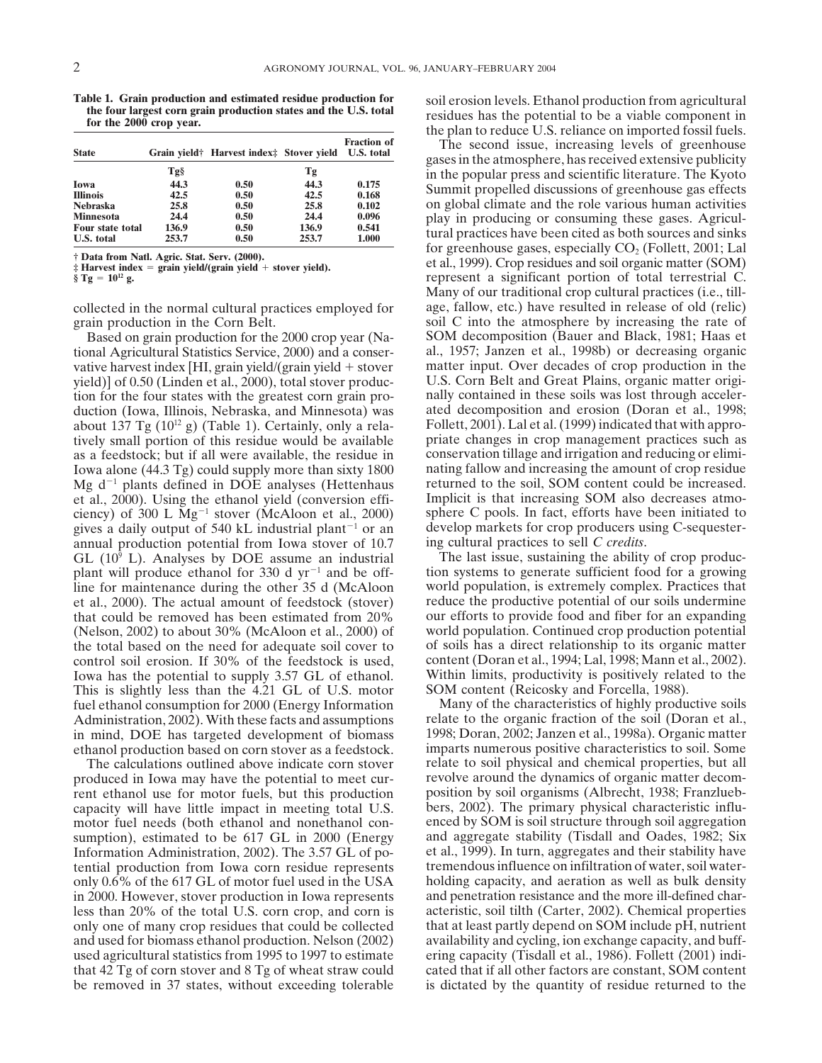| <b>State</b>      |       | Grain yield <sup>†</sup> Harvest index <sup>†</sup> Stover yield |       | <b>Fraction</b> of<br><b>U.S. total</b> |  |  |
|-------------------|-------|------------------------------------------------------------------|-------|-----------------------------------------|--|--|
|                   | Tg§   |                                                                  | Тg    |                                         |  |  |
| Iowa              | 44.3  | 0.50                                                             | 44.3  | 0.175                                   |  |  |
| <b>Illinois</b>   | 42.5  | 0.50                                                             | 42.5  | 0.168                                   |  |  |
| <b>Nebraska</b>   | 25.8  | 0.50                                                             | 25.8  | 0.102                                   |  |  |
| <b>Minnesota</b>  | 24.4  | 0.50                                                             | 24.4  | 0.096                                   |  |  |
| Four state total  | 136.9 | 0.50                                                             | 136.9 | 0.541                                   |  |  |
| <b>U.S.</b> total | 253.7 | 0.50                                                             | 253.7 | 1.000                                   |  |  |

tional Agricultural Statistics Service, 2000) and a conservative harvest index [HI, grain yield/(grain yield + stover matter input. Over decades of crop production in the yield)] of 0.50 (Linden et al., 2000), total stover produc- U.S. Corn Belt and Great Plains, organic matter o  $|y$ ield)] of 0.50 (Linden et al., 2000), total stover production for the four states with the greatest corn grain pro- nally contained in these soils was lost through accelerduction (Iowa, Illinois, Nebraska, and Minnesota) was ated decomposition and erosion (Doran et al., 1998; about 137 Tg (10<sup>12</sup> g) (Table 1). Certainly, only a rela-<br>Follett, 2001). Lal et al. (1999) indicated that with app about 137 Tg  $(10^{12} \text{ g})$  (Table 1). Certainly, only a relatively small portion of this residue would be available priate changes in crop management practices such as a feedstock: but if all were available, the residue in conservation tillage and irrigation and reducing or elimias a feedstock; but if all were available, the residue in conservation tillage and irrigation and reducing or elimi-<br>Iowa alone (44.3 Tg) could supply more than sixty 1800 nating fallow and increasing the amount of crop re Iowa alone  $(44.3 \text{ Tg})$  could supply more than sixty 1800 Mg  $d^{-1}$  plants defined in DOE analyses (Hettenhaus returned to the soil, SOM content could be increased. et al., 2000). Using the ethanol yield (conversion effi-<br>Implicit is that increasing SOM also decreases atmoet al., 2000). Using the ethanol yield (conversion efficiency) of 300 L Mg<sup>-1</sup> stover (McAloon et al., 2000) sphere C pools. In fact, efforts have been initiated to gives a daily output of 540 kL industrial plant<sup>-1</sup> or an develop markets for crop producers using C-sequestergives a daily output of 540 kL industrial plant<sup>-1</sup> or an develop markets for crop producers us<br>annual production potential from Iowa stover of  $10.7$  ing cultural practices to sell C credits. annual production potential from Iowa stover of 10.7 ing cultural practices to sell *C credits*.<br>
GL (10<sup>9</sup> L). Analyses by DOE assume an industrial The last issue, sustaining the ability of crop produc-GL (10<sup>9</sup> L). Analyses by DOE assume an industrial The last issue, sustaining the ability of crop produc-<br>plant will produce ethanol for 330 d  $yr^{-1}$  and be off-<br>tion systems to generate sufficient food for a growing plant will produce ethanol for 330 d  $yr^{-1}$  and be offline for maintenance during the other 35 d (McAloon world population, is extremely complex. Practices that et al., 2000). The actual amount of feedstock (stover) reduce the productive potential of our soils undermine<br>that could be removed has been estimated from 20% our efforts to provide food and fiber for an expanding that could be removed has been estimated from 20% (Nelson, 2002) to about 30% (McAloon et al., 2000) of world population. Continued crop production potential the total based on the need for adequate soil cover to of soils has a direct relationship to its organic matter<br>control soil erosion. If 30% of the feedstock is used, content (Doran et al., 1994; Lal, 1998; Mann et al., 20 control soil erosion. If 30% of the feedstock is used, Iowa has the potential to supply 3.57 GL of ethanol. Within limits, productivity is positively related to the This is slightly less than the 4.21 GL of U.S. motor SOM content (Reicosky and Forcella, 1988). This is slightly less than the 4.21 GL of U.S. motor fuel ethanol consumption for 2000 (Energy Information Many of the characteristics of highly productive soils<br>Administration 2002). With these facts and assumptions relate to the organic fraction of the soil (Doran et al., Administration, 2002). With these facts and assumptions relate to the organic fraction of the soil (Doran et al., 1998). Organic matter in mind. DOE has targeted development of biomass 1998; Doran, 2002; Janzen et al., 199 in mind, DOE has targeted development of biomass ethanol production based on corn stover as a feedstock. imparts numerous positive characteristics to soil. Some

produced in Iowa may have the potential to meet cur- revolve around the dynamics of organic matter decomrent ethanol use for motor fuels, but this production position by soil organisms (Albrecht, 1938; Franzlueb-<br>capacity will have little impact in meeting total U.S. bers, 2002). The primary physical characteristic influcapacity will have little impact in meeting total U.S. motor fuel needs (both ethanol and nonethanol con-<br>enced by SOM is soil structure through soil aggregation sumption), estimated to be 617 GL in 2000 (Energy and aggregate stability (Tisdall and Oades, 1982; Six Information Administration, 2002). The 3.57 GL of po- et al., 1999). In turn, aggregates and their stability have Information Administration, 2002). The 3.57 GL of potential production from Iowa corn residue represents tremendous influence on infiltration of water, soil wateronly 0.6% of the 617 GL of motor fuel used in the USA holding capacity, and aeration as well as bulk density in 2000. However, stover production in Iowa represents and penetration resistance and the more ill-defined charless than 20% of the total U.S. corn crop, and corn is acteristic, soil tilth (Carter, 2002). Chemical properties only one of many crop residues that could be collected that at least partly depend on SOM include pH, nutrient and used for biomass ethanol production. Nelson (2002) availability and cycling, ion exchange capacity, and buffused agricultural statistics from 1995 to 1997 to estimate ering capacity (Tisdall et al., 1986). Follett (2001) indithat 42 Tg of corn stover and 8 Tg of wheat straw could cated that if all other factors are constant, SOM content be removed in 37 states, without exceeding tolerable is dictated by the quantity of residue returned to the

Table 1. Grain production and estimated residue production for<br>the four largest corn grain production states and the U.S. total<br>for the 2000 crop year.<br>the plan to reduce U.S. reliance on imported fossil fuels.

The second issue, increasing levels of greenhouse gases in the atmosphere, has received extensive publicity In the popular press and scientific literature. The Kyoto Summit propelled discussions of greenhouse gas effects on global climate and the role various human activities play in producing or consuming these gases. Agricultural practices have been cited as both sources and sinks for greenhouse gases, especially CO<sub>2</sub> (Follett, 2001; Lal  $\frac{1}{3}$  Pata from Natl. Agric. Stat. Serv. (2000).<br>  $\frac{1}{3}$  Harvest index = grain yield/(grain yield + stover yield).<br>  $\frac{1}{3}$  Tg = 10<sup>12</sup> g.<br>  $\frac{1}{3}$  Tg = 10<sup>12</sup> g. represent a significant portion of total terrestrial C. Many of our traditional crop cultural practices (i.e., tillcollected in the normal cultural practices employed for age, fallow, etc.) have resulted in release of old (relic) grain production in the Corn Belt.<br>Based on grain production for the 2000 crop year (Na-<br>SOM decomposition (Bauer and Black, 1981; Haas et Based on grain production for the 2000 crop year (Na-<br>Based on grain production for the 2000 crop year (Na-<br>al., 1957; Janzen et al., 1998b) or decreasing organic

The calculations outlined above indicate corn stover relate to soil physical and chemical properties, but all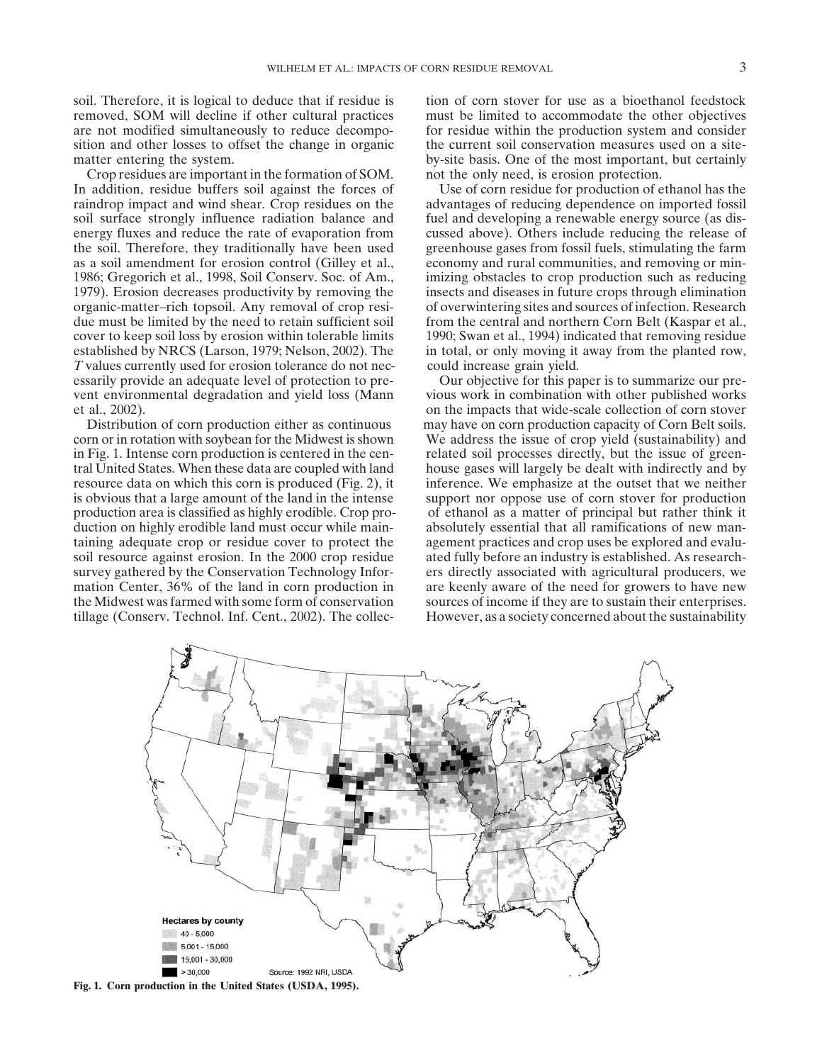soil. Therefore, it is logical to deduce that if residue is tion of corn stover for use as a bioethanol feedstock removed, SOM will decline if other cultural practices must be limited to accommodate the other objectives are not modified simultaneously to reduce decompo- for residue within the production system and consider sition and other losses to offset the change in organic the current soil conservation measures used on a sitematter entering the system. by-site basis. One of the most important, but certainly

Crop residues are important in the formation of SOM. not the only need, is erosion protection. In addition, residue buffers soil against the forces of Use of corn residue for production of ethanol has the *T* values currently used for erosion tolerance do not nec-<br>essarily provide an adequate level of protection to pre- Our objective for this paper is to summarize our preessarily provide an adequate level of protection to prevent environmental degradation and yield loss (Mann vious work in combination with other published works et al., 2002). on the impacts that wide-scale collection of corn stover

corn or in rotation with soybean for the Midwest is shown We address the issue of crop yield (sustainability) and in Fig. 1. Intense corn production is centered in the cen-<br>related soil processes directly, but the issue of tral United States. When these data are coupled with land house gases will largely be dealt with indirectly and by resource data on which this corn is produced (Fig. 2), it inference. We emphasize at the outset that we neither is obvious that a large amount of the land in the intense support nor oppose use of corn stover for production production area is classified as highly erodible. Crop pro- of ethanol as a matter of principal but rather think it duction on highly erodible land must occur while main- absolutely essential that all ramifications of new mantaining adequate crop or residue cover to protect the agement practices and crop uses be explored and evalusoil resource against erosion. In the 2000 crop residue ated fully before an industry is established. As researchsurvey gathered by the Conservation Technology Infor- ers directly associated with agricultural producers, we mation Center, 36% of the land in corn production in are keenly aware of the need for growers to have new the Midwest was farmed with some form of conservation sources of income if they are to sustain their enterprises. tillage (Conserv. Technol. Inf. Cent., 2002). The collec- However, as a society concerned about the sustainability

raindrop impact and wind shear. Crop residues on the advantages of reducing dependence on imported fossil soil surface strongly influence radiation balance and fuel and developing a renewable energy source (as disenergy fluxes and reduce the rate of evaporation from cussed above). Others include reducing the release of the soil. Therefore, they traditionally have been used greenhouse gases from fossil fuels, stimulating the farm as a soil amendment for erosion control (Gilley et al., economy and rural communities, and removing or min-1986; Gregorich et al., 1998, Soil Conserv. Soc. of Am., imizing obstacles to crop production such as reducing 1979). Erosion decreases productivity by removing the insects and diseases in future crops through elimination organic-matter–rich topsoil. Any removal of crop resi- of overwintering sites and sources of infection. Research due must be limited by the need to retain sufficient soil from the central and northern Corn Belt (Kaspar et al., cover to keep soil loss by erosion within tolerable limits 1990; Swan et al., 1994) indicated that removing residue established by NRCS (Larson, 1979; Nelson, 2002). The in total, or only moving it away from the planted row,

Distribution of corn production either as continuous may have on corn production capacity of Corn Belt soils. related soil processes directly, but the issue of green-



**Fig. 1. Corn production in the United States (USDA, 1995).**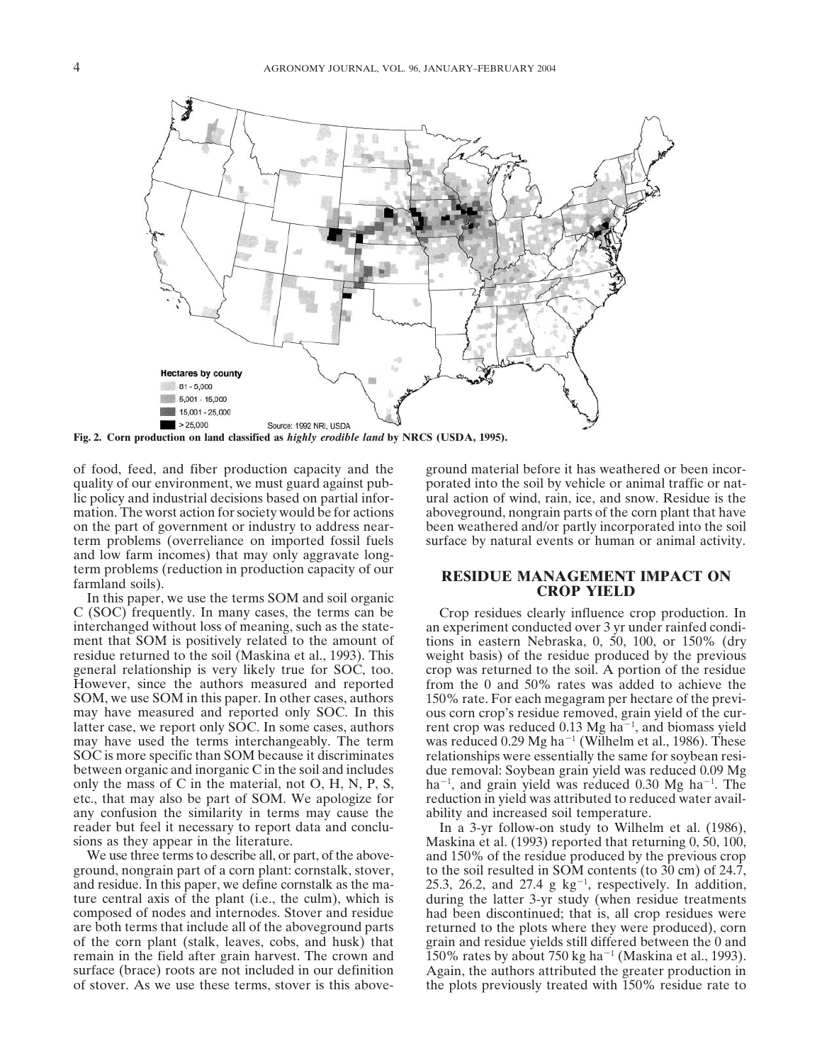

**Fig. 2. Corn production on land classified as** *highly erodible land* **by NRCS (USDA, 1995).**

quality of our environment, we must guard against pub- porated into the soil by vehicle or animal traffic or natlic policy and industrial decisions based on partial infor- ural action of wind, rain, ice, and snow. Residue is the mation. The worst action for society would be for actions aboveground, nongrain parts of the corn plant that have on the part of government or industry to address near- been weathered and/or partly incorporated into the soil term problems (overreliance on imported fossil fuels surface by natural events or human or animal activity. and low farm incomes) that may only aggravate longterm problems (reduction in production capacity of our<br>farmland soils).<br>In this paper, we use the terms SOM and soil organic<br>**RESIDUE MANAGEMENT IMPACT ON**<br>**CROP YIELD** 

C (SOC) frequently. In many cases, the terms can be Crop residues clearly influence crop production. In interchanged without loss of meaning, such as the state-<br>an experiment conducted over 3 yr under rainfed condiinterchanged without loss of meaning, such as the state-<br>ment that SOM is positively related to the amount of tions in eastern Nebraska, 0, 50, 100, or 150% (dry residue returned to the soil (Maskina et al., 1993). This weight basis) of the residue produced by the previous general relationship is very likely true for SOC, too. crop was returned to the soil. A portion of the residue general relationship is very likely true for SOC, too. However, since the authors measured and reported SOM, we use SOM in this paper. In other cases, authors 150% rate. For each megagram per hectare of the previmay have measured and reported only SOC. In this ous corn crop's residue removed, grain yield of the curlatter case, we report only SOC. In some cases, authors may have used the terms interchangeably. The term was reduced  $0.29 \text{ Mg} \text{ ha}^{-1}$  (Wilhelm et al., 1986). These SOC is more specific than SOM because it discriminates relationships were essentially the same for soybean re SOC is more specific than SOM because it discriminates relationships were essentially the same for soybean resi-<br>between organic and inorganic C in the soil and includes due removal: Soybean grain yield was reduced 0.09 Mg only the mass of C in the material, not O, H, N, P, S, etc., that may also be part of SOM. We apologize for reduction in yield was attributed to reduced water availany confusion the similarity in terms may cause the ability and increased soil temperature. reader but feel it necessary to report data and conclu-<br>In a 3-yr follow-on study to Wilhelm et al. (1986),

ground, nongrain part of a corn plant: cornstalk, stover, to the soil resulted in SOM contents (to 30 cm) of 24.7, and residue. In this paper, we define cornstalk as the mature central axis of the plant (i.e., the culm), which is during the latter 3-yr study (when residue treatments composed of nodes and internodes. Stover and residue had been discontinued; that is, all crop residues were are both terms that include all of the above ground parts returned to the plots where they were produced), corn of the corn plant (stalk, leaves, cobs, and husk) that grain and residue yields still differed between the 0 and remain in the field after grain harvest. The crown and  $150\%$  rates by about 750 kg ha<sup>-1</sup> (Maskina et al., 1993). surface (brace) roots are not included in our definition Again, the authors attributed the greater production in

of food, feed, and fiber production capacity and the ground material before it has weathered or been incor-

tions in eastern Nebraska, 0, 50, 100, or  $150\%$  (dry from the 0 and 50% rates was added to achieve the rent crop was reduced 0.13 Mg ha<sup> $-1$ </sup>, and biomass yield due removal: Soybean grain yield was reduced 0.09 Mg , and grain yield was reduced  $0.30 \text{ Mg} \text{ ha}^{-1}$ . The

sions as they appear in the literature. Maskina et al. (1993) reported that returning 0, 50, 100, We use three terms to describe all, or part, of the above- and 150% of the residue produced by the previous crop 25.3, 26.2, and 27.4  $g \text{ kg}^{-1}$ , respectively. In addition, returned to the plots where they were produced), corn of stover. As we use these terms, stover is this above- the plots previously treated with 150% residue rate to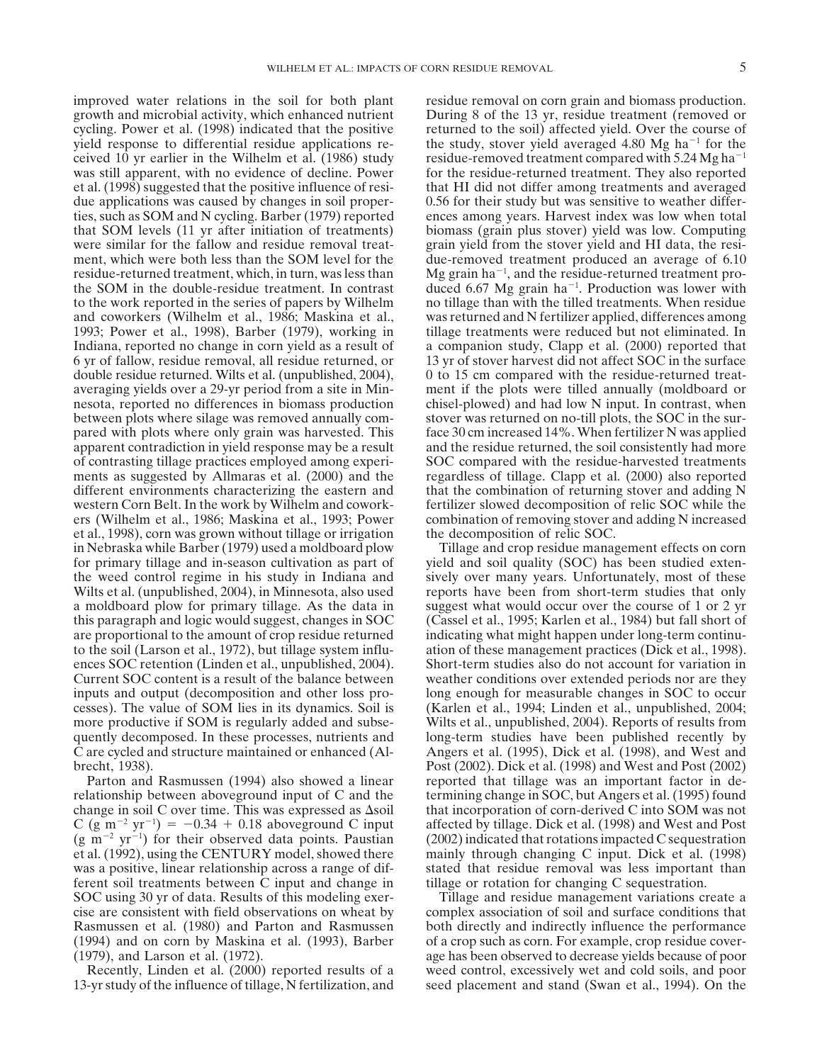improved water relations in the soil for both plant residue removal on corn grain and biomass production. growth and microbial activity, which enhanced nutrient During 8 of the 13 yr, residue treatment (removed or cycling. Power et al. (1998) indicated that the positive returned to the soil) affected yield. Over the course of yield response to differential residue applications re- for the study, stover yield averaged 4.80 Mg ha<sup>-1</sup> for the ceived 10 yr earlier in the Wilhelm et al. (1986) study residue-removed treatment compared with 5.24 Mg ha<sup>-1</sup> was still apparent, with no evidence of decline. Power for the residue-returned treatment. They also reported et al. (1998) suggested that the positive influence of resi- that HI did not differ among treatments and averaged due applications was caused by changes in soil proper- 0.56 for their study but was sensitive to weather differties, such as SOM and N cycling. Barber (1979) reported ences among years. Harvest index was low when total that SOM levels (11 yr after initiation of treatments) biomass (grain plus stover) yield was low. Computing were similar for the fallow and residue removal treat-<br>ment, which were both less than the SOM level for the due-removed treatment produced an average of 6.10 residue-returned treatment, which, in turn, was less than the SOM in the double-residue treatment. In contrast duced 6.67 Mg grain ha<sup>-1</sup>. Production was lower with to the work reported in the series of papers by Wilhelm no tillage than with the tilled treatments. When residue and coworkers (Wilhelm et al., 1986; Maskina et al., was returned and N fertilizer applied, differences among 1993; Power et al., 1998), Barber (1979), working in tillage treatments were reduced but not eliminated. In Indiana, reported no change in corn yield as a result of a companion study, Clapp et al. (2000) reported that 6 yr of fallow, residue removal, all residue returned, or 13 yr of stover harvest did not affect SOC in the surface double residue returned. Wilts et al. (unpublished, 2004), 0 to 15 cm compared with the residue-returned treat-<br>averaging yields over a 29-yr period from a site in Min-<br>ment if the plots were tilled annually (moldboard or nesota, reported no differences in biomass production chisel-plowed) and had low N input. In contrast, when between plots where silage was removed annually com- stover was returned on no-till plots, the SOC in the surpared with plots where only grain was harvested. This face 30 cm increased 14%. When fertilizer N was applied apparent contradiction in yield response may be a result and the residue returned, the soil consistently had more of contrasting tillage practices employed among experi- SOC compared with the residue-harvested treatments ments as suggested by Allmaras et al. (2000) and the regardless of tillage. Clapp et al. (2000) also reported different environments characterizing the eastern and that the combination of returning stover and adding N western Corn Belt. In the work by Wilhelm and cowork-<br>fertilizer slowed decomposition of relic SOC while the ers (Wilhelm et al., 1986; Maskina et al., 1993; Power combination of removing stover and adding N increased et al., 1998), corn was grown without tillage or irrigation the decomposition of relic SOC. in Nebraska while Barber (1979) used a moldboard plow Tillage and crop residue management effects on corn for primary tillage and in-season cultivation as part of yield and soil quality (SOC) has been studied extenthe weed control regime in his study in Indiana and sively over many years. Unfortunately, most of these Wilts et al. (unpublished, 2004), in Minnesota, also used reports have been from short-term studies that only a moldboard plow for primary tillage. As the data in suggest what would occur over the course of 1 or 2 yr this paragraph and logic would suggest, changes in SOC (Cassel et al., 1995; Karlen et al., 1984) but fall short of are proportional to the amount of crop residue returned indicating what might happen under long-term continuto the soil (Larson et al., 1972), but tillage system influ- ation of these management practices (Dick et al., 1998). ences SOC retention (Linden et al., unpublished, 2004). Short-term studies also do not account for variation in Current SOC content is a result of the balance between weather conditions over extended periods nor are they inputs and output (decomposition and other loss pro- long enough for measurable changes in SOC to occur cesses). The value of SOM lies in its dynamics. Soil is (Karlen et al., 1994; Linden et al., unpublished, 2004; more productive if SOM is regularly added and subse-<br>Wilts et al., unpublished, 2004). Reports of results from quently decomposed. In these processes, nutrients and long-term studies have been published recently by

relationship between aboveground input of C and the termining change in SOC, but Angers et al. (1995) found change in soil C over time. This was expressed as  $\Delta$ soil that incorporation of corn-derived C into SOM was not C (g m<sup>-2</sup> yr<sup>-1</sup>) = -0.34 + 0.18 aboveground C input  $(g m^{-2} yr^{-1})$  for their observed data points. Paustian et al. (1992), using the CENTURY model, showed there mainly through changing C input. Dick et al. (1998) was a positive, linear relationship across a range of dif-<br>stated that residue removal was less important than ferent soil treatments between C input and change in tillage or rotation for changing C sequestration. (1994) and on corn by Maskina et al. (1993), Barber of a crop such as corn. For example, crop residue cover-

biomass (grain plus stover) yield was low. Computing due-removed treatment produced an average of 6.10  $Mg$  grain ha<sup>-1</sup>, and the residue-returned treatment proment if the plots were tilled annually (moldboard or

Wilts et al., unpublished, 2004). Reports of results from C are cycled and structure maintained or enhanced (Al-<br>
Fost (2002). Dick et al. (1998) and West and Post (2002).<br>
Post (2002). Dick et al. (1998) and West and Post (2002). Post (2002). Dick et al. (1998) and West and Post (2002) Parton and Rasmussen (1994) also showed a linear reported that tillage was an important factor in deaffected by tillage. Dick et al. (1998) and West and Post  $(2002)$  indicated that rotations impacted C sequestration

SOC using 30 yr of data. Results of this modeling exer- Tillage and residue management variations create a cise are consistent with field observations on wheat by complex association of soil and surface conditions that Rasmussen et al. (1980) and Parton and Rasmussen both directly and indirectly influence the performance (1979), and Larson et al. (1972). age has been observed to decrease yields because of poor Recently, Linden et al. (2000) reported results of a weed control, excessively wet and cold soils, and poor 13-yr study of the influence of tillage, N fertilization, and seed placement and stand (Swan et al., 1994). On the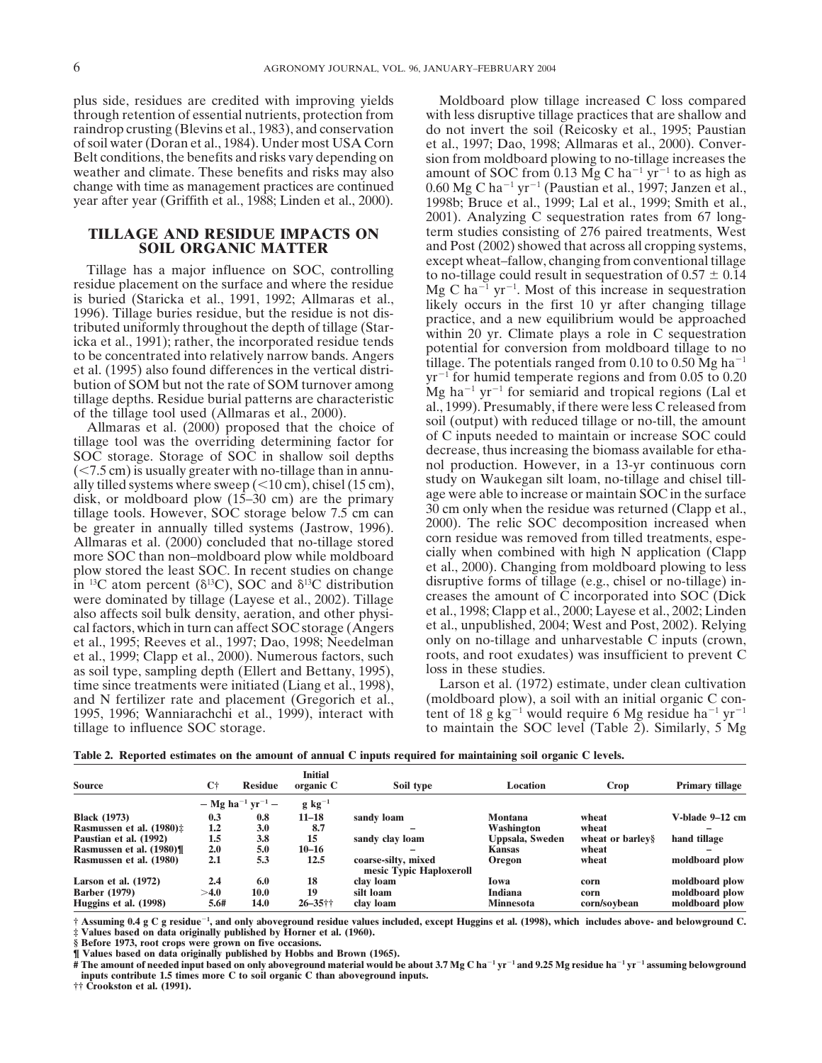plus side, residues are credited with improving yields Moldboard plow tillage increased C loss compared

be greater in annually tilled systems (Jastrow, 1996). <sup>2000</sup> l. The relic SOC decomposition increased when Allmaras et al. (2000) concluded that no-tillage stored corn residue was removed from tilled treatments, espemore SOC than non–moldboard plow while moldboard cially when combined with high N application (Clapp plow stored the least SOC. In recent studies on change et al., 2000). Changing from moldboard plowing to less  $^{13}$ C), SOC and  $\delta$ <sup>13</sup>C distribution were dominated by tillage (Layese et al., 2002). Tillage creases the amount of C incorporated into SOC (Dick<br>also affects soil bulk density, aeration, and other physi- et al., 1998; Clapp et al., 2000; Layese et al., 2002; also affects soil bulk density, aeration, and other physical factors, which in turn can affect SOC storage (Angers et al., unpublished, 2004; West and Post, 2002). Relying et al., 1995: Reeves et al., 1997: Dao, 1998: Needelman only on no-tillage and unharvestable C inputs (crow et al., 1995; Reeves et al., 1997; Dao, 1998; Needelman only on no-tillage and unharvestable C inputs (crown, et al., 2000). Numerous factors, such roots, and root exudates) was insufficient to prevent C et al., 1999; Clapp et al., 2000). Numerous factors, such roots, and root exud<br>as soil type, sampling depth (Ellert and Bettany, 1995). loss in these studies. as soil type, sampling depth (Ellert and Bettany, 1995), loss in these studies.<br>time since treatments were initiated (Liang et al., 1998), Larson et al. (1972) estimate, under clean cultivation time since treatments were initiated (Liang et al., 1998), and N fertilizer rate and placement (Gregorich et al., 1995, 1996; Wanniarachchi et al., 1999), interact with tent of 18 g kg<sup>-1</sup> would require 6 Mg residue ha<sup>-1</sup> yr<sup>-1</sup>

through retention of essential nutrients, protection from with less disruptive tillage practices that are shallow and raindrop crusting (Blevins et al., 1983), and conservation do not invert the soil (Reicosky et al., 1995; Paustian of soil water (Doran et al., 1984). Under most USA Corn et al., 1997; Dao, 1998; Allmaras et al., 2000). Conver-Belt conditions, the benefits and risks vary depending on sion from moldboard plowing to no-tillage increases the weather and climate. These benefits and risks may also amount of SOC from 0.13 Mg C ha<sup>-1</sup> yr<sup>-1</sup> to as high as change with time as management practices are continued 0.60 Mg C ha<sup>-1</sup> yr<sup>-1</sup> (Paustian et al., 1997; Janzen et al., year after year (Griffith et al., 1988; Linden et al., 2000). 1998b; Bruce et al., 1999; Lal et al., 199 2001). Analyzing C sequestration rates from 67 long-**TILLAGE AND RESIDUE IMPACTS ON** term studies consisting of 276 paired treatments, West<br> **SOIL ORGANIC MATTER** and Post (2002) showed that across all cropping systems, and Post (2002) showed that across all cropping systems, except wheat-fallow, changing from conventional tillage Tillage has a major influence on SOC, controlling<br>residue placement on the surface and where the residue<br>is buried (Staricka et al., 1991, 1992; Allmaras et al., likely occurs in the first 10 yr ofter changing tillage Fesidue placement of the surface and where the residue<br>is buried (Staricka et al., 1991, 1992; Allmaras et al.,<br>1996). Tillage buries residue, but the residue is not dis-<br>tributed uniformly throughout the depth of tillage et al. (1995) also found differences in the vertical distri-<br>bution of SOM but not the rate of SOM turnover among<br>tillage depths. Residue burial and tropical regions and from 0.05 to 0.20<br>tillage depths. Residue burial pa disruptive forms of tillage (e.g., chisel or no-tillage) in-<br>creases the amount of C incorporated into SOC (Dick

(moldboard plow), a soil with an initial organic  $C$  contillage to influence SOC storage. the maintain the SOC level (Table 2). Similarly, 5 Mg

| Table 2. Reported estimates on the amount of annual C inputs required for maintaining soil organic C levels. |  |  |
|--------------------------------------------------------------------------------------------------------------|--|--|
|--------------------------------------------------------------------------------------------------------------|--|--|

**Initial**

| <b>Source</b>               | C†                                         | <b>Residue</b> | mual<br>organic C   | Soil type                                      | Location         | Crop             | <b>Primary tillage</b> |  |
|-----------------------------|--------------------------------------------|----------------|---------------------|------------------------------------------------|------------------|------------------|------------------------|--|
|                             | $-$ Mg ha <sup>-1</sup> yr <sup>-1</sup> - |                | $g \text{ kg}^{-1}$ |                                                |                  |                  |                        |  |
| <b>Black</b> (1973)         | 0.3                                        | 0.8            | $11 - 18$           | sandy loam                                     | <b>Montana</b>   | wheat            | V-blade 9–12 cm        |  |
| Rasmussen et al. $(1980)$ : | $1.2\,$                                    | 3.0            | 8.7                 |                                                | Washington       | wheat            |                        |  |
| Paustian et al. (1992)      | 1.5                                        | 3.8            | 15                  | sandy clay loam                                | Uppsala, Sweden  | wheat or barley. | hand tillage           |  |
| Rasmussen et al. (1980)     | 2.0                                        | 5.0            | $10 - 16$           |                                                | Kansas           | wheat            |                        |  |
| Rasmussen et al. (1980)     | 2.1                                        | 5.3            | 12.5                | coarse-silty, mixed<br>mesic Typic Haploxeroll | <b>Oregon</b>    | wheat            | moldboard plow         |  |
| Larson et al. $(1972)$      | 2.4                                        | 6.0            | 18                  | clay loam                                      | lowa             | corn             | moldboard plow         |  |
| <b>Barber</b> (1979)        | >4.0                                       | <b>10.0</b>    | 19                  | silt loam                                      | Indiana          | corn             | moldboard plow         |  |
| Huggins et al. (1998)       | 5.6#                                       | 14.0           | $26 - 35 +$         | clay loam                                      | <b>Minnesota</b> | corn/soybean     | moldboard plow         |  |

**† Assuming 0.4gCg residue<sup>1</sup> , and only aboveground residue values included, except Huggins et al. (1998), which includes above- and belowground C.**

**‡ Values based on data originally published by Horner et al. (1960).**

**§ Before 1973, root crops were grown on five occasions.**

**¶ Values based on data originally published by Hobbs and Brown (1965).**

# The amount of needed input based on only aboveground material would be about 3.7 Mg C ha<sup>-1</sup> yr<sup>-1</sup> and 9.25 Mg residue ha<sup>-1</sup> yr<sup>-1</sup> assuming belowground<br>inputs contribute 1.5 times more C to soil organic C than abovegr

**†† Crookston et al. (1991).**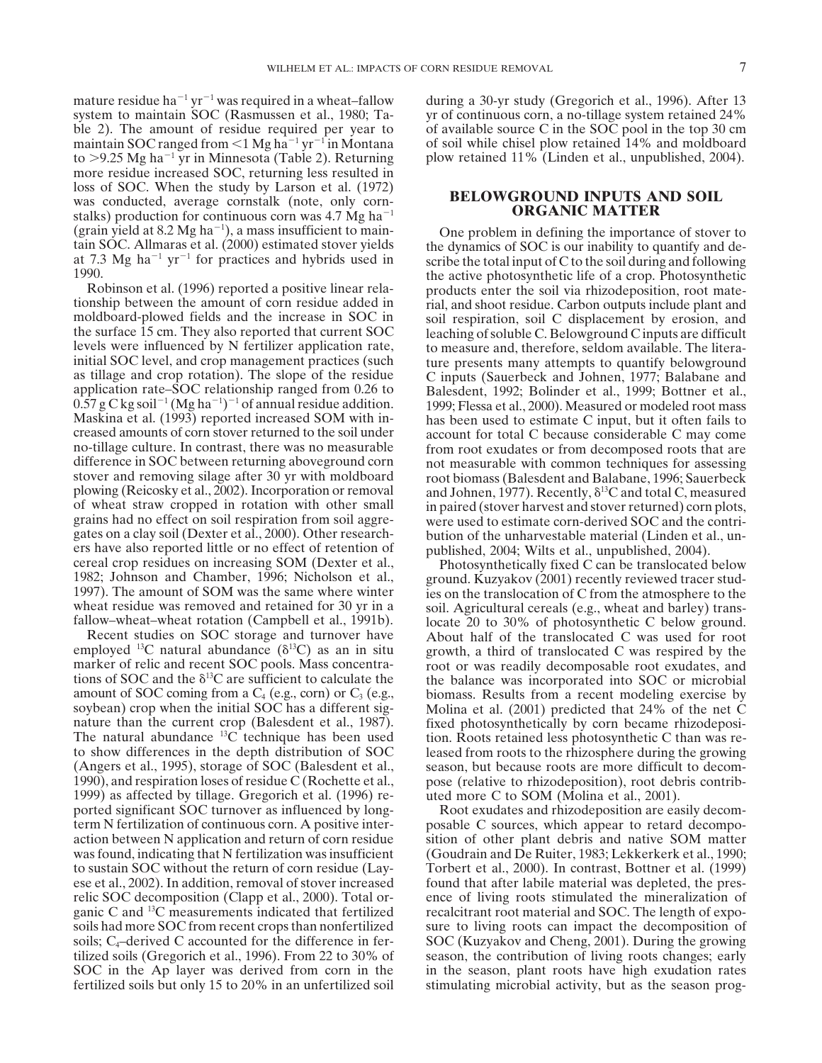system to maintain SOC (Rasmussen et al., 1980; Ta- yr of continuous corn, a no-tillage system retained 24% ble 2). The amount of residue required per year to of available source C in the SOC pool in the top 30 cm maintain SOC ranged from  $\leq 1$  Mg ha<sup>-1</sup> yr<sup>-1</sup> in Montana of soil while chisel plow retained 14% and moldboard to  $>9.25$  Mg ha<sup>-1</sup> yr in Minnesota (Table 2). Returning plow retained 11% (Linden et al., unpublished, 2004). more residue increased SOC, returning less resulted in loss of SOC. When the study by Larson et al. (1972)  $\frac{1}{2}$  and  $\frac{1}{2}$  conducted, average cornstalk (note, only corn-<br>stalk onducted, average cornstalk (note, only corn-<br>stalks) production for continuous corn was  $4.7 Mg$  ba<sup>-1</sup> stalks) production for continuous corn was  $4.7 \text{ Mg} \text{ ha}^{-1}$ (grain yield at 8.2 Mg ha<sup>-1</sup>), a mass insufficient to maintain SOC. Allmaras et al. (2000) estimated stover yields

 $0.57$  g C kg soil<sup>-1</sup> (Mg ha<sup>-1</sup>)<sup>-1</sup> of annual residue addition. gates on a clay soil (Dexter et al., 2000). Other research-<br>
ers have also reported little or no effect of retention of<br>
cereal crop residues on increasing SOM (Dexter et al.,<br>
1982; Johnson and Chamber, 1996; Nicholson et

employed <sup>13</sup>C natural abundance  $(\delta^{13}C)$  as an in situ marker of relic and recent SOC pools. Mass concentrations of SOC and the  $\delta^{13}$ C are sufficient to calculate the amount of SOC coming from a C<sub>4</sub> (e.g., corn) or C<sub>3</sub> (e.g., 1999) as affected by tillage. Gregorich et al. (1996) re- uted more C to SOM (Molina et al., 2001). ported significant SOC turnover as influenced by long- Root exudates and rhizodeposition are easily decom-

mature residue ha<sup>-1</sup> yr<sup>-1</sup> was required in a wheat–fallow during a 30-yr study (Gregorich et al., 1996). After 13

(grain yield at 8.2 Mg ha<sup>-1</sup>), a mass insufficient to main-<br>tain SOC. Allmaras et al. (2000) estimated stover yields<br>at 7.3 Mg ha<sup>-1</sup> yr<sup>-1</sup> for practices and hybrids used in<br>1990.<br>1990.<br>Robinson et al. (1996) reported a levels were influenced by N fertilizer application rate,<br>initial SOC level, and crop management practices (such ture presents many attempts to quantify below<br>ground as tillage and crop rotation). The slope of the residue<br> 0.57 g C kg soil<sup>-1</sup> (Mg ha<sup>-1</sup>)<sup>-1</sup> of annual residue addition. 1999; Flessa et al., 2000). Measured or modeled root mass<br>Maskina et al. (1993) reported increased SOM with in-<br>creased amounts of corn stover returned to t and Johnen, 1977). Recently,  $\delta^{13}$ C and total C, measured<br>in paired (stover harvest and stover returned) corn plots, of wheat straw cropped in rotation with other small in paired (stover harvest and stover returned) corn plots, grains had no effect on soil respiration from soil aggre-<br>gates on a clay soil (Dexter et al., 2000). Other res

growth, a third of translocated  $C$  was respired by the root or was readily decomposable root exudates, and the balance was incorporated into SOC or microbial amount of SOC coming from a C<sub>4</sub> (e.g., corn) or C<sub>3</sub> (e.g., biomass. Results from a recent modeling exercise by soybean) crop when the initial SOC has a different sig-<br>nature than the current crop (Balesdent et al., 1987 fixed photosynthetically by corn became rhizodeposi-The natural abundance  ${}^{13}C$  technique has been used tion. Roots retained less photosynthetic C than was re-<br>to show differences in the depth distribution of SOC leased from roots to the rhizosphere during the growing leased from roots to the rhizosphere during the growing (Angers et al., 1995), storage of SOC (Balesdent et al., season, but because roots are more difficult to decom-1990), and respiration loses of residue C (Rochette et al., pose (relative to rhizodeposition), root debris contrib-

term N fertilization of continuous corn. A positive inter-<br>action between N application and return of corn residue sition of other plant debris and native SOM matter sition of other plant debris and native SOM matter was found, indicating that N fertilization was insufficient (Goudrain and De Ruiter, 1983; Lekkerkerk et al., 1990; to sustain SOC without the return of corn residue (Lay- Torbert et al., 2000). In contrast, Bottner et al. (1999) ese et al., 2002). In addition, removal of stover increased found that after labile material was depleted, the presrelic SOC decomposition (Clapp et al., 2000). Total or- ence of living roots stimulated the mineralization of ganic C and <sup>13</sup>C measurements indicated that fertilized recalcitrant root material and SOC. The length of exporecalcitrant root material and SOC. The length of exposoils had more SOC from recent crops than nonfertilized sure to living roots can impact the decomposition of soils; C<sub>4</sub>-derived C accounted for the difference in fer-<br>SOC (Kuzyakov and Cheng, 2001). During the growing tilized soils (Gregorich et al., 1996). From 22 to 30% of season, the contribution of living roots changes; early SOC in the Ap layer was derived from corn in the in the season, plant roots have high exudation rates fertilized soils but only 15 to 20% in an unfertilized soil stimulating microbial activity, but as the season prog-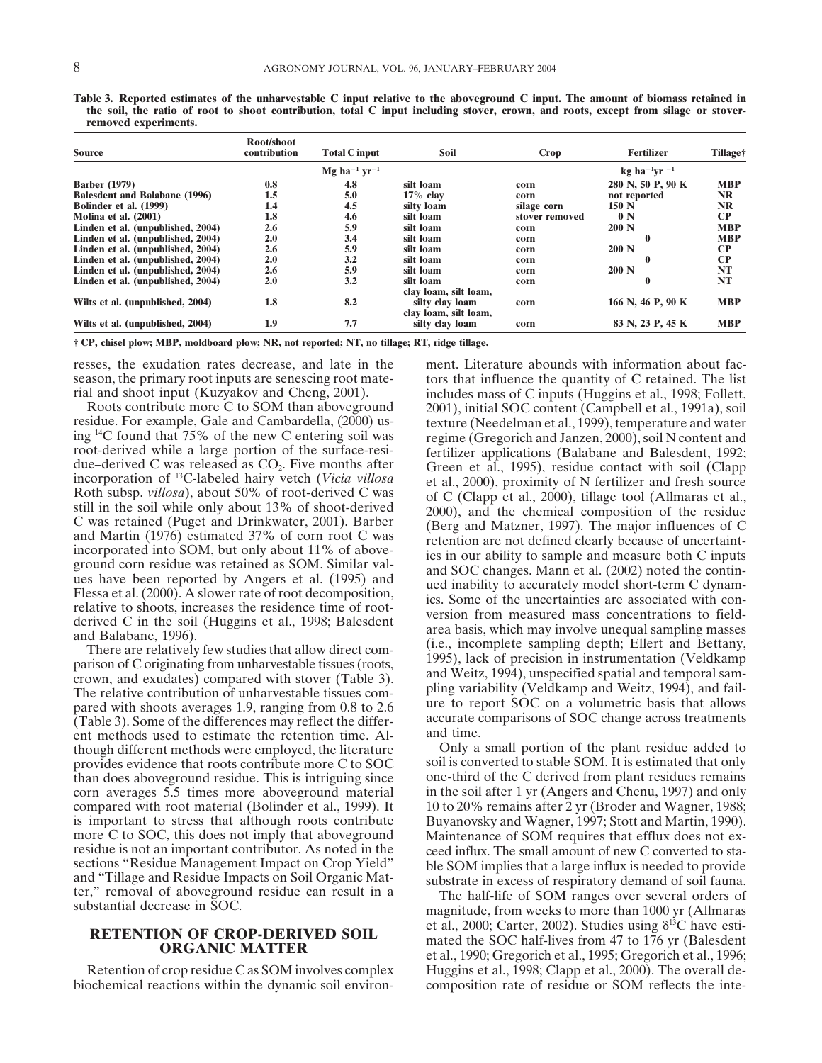|                      |  | Table 3. Reported estimates of the unharvestable C input relative to the aboveground C input. The amount of biomass retained in    |  |  |  |  |  |  |
|----------------------|--|------------------------------------------------------------------------------------------------------------------------------------|--|--|--|--|--|--|
|                      |  | the soil, the ratio of root to shoot contribution, total C input including stover, crown, and roots, except from silage or stover- |  |  |  |  |  |  |
| removed experiments. |  |                                                                                                                                    |  |  |  |  |  |  |

| <b>Source</b>                        | Root/shoot<br>contribution | <b>Total C</b> input          | Soil                  | Crop           | <b>Fertilizer</b>                    | Tillage <sup>+</sup> |
|--------------------------------------|----------------------------|-------------------------------|-----------------------|----------------|--------------------------------------|----------------------|
|                                      |                            | Mg ha <sup>-1</sup> $yr^{-1}$ |                       |                | kg ha <sup>-1</sup> yr <sup>-1</sup> |                      |
| <b>Barber</b> (1979)                 | 0.8                        | 4.8                           | silt loam             | corn           | 280 N, 50 P, 90 K                    | <b>MBP</b>           |
| <b>Balesdent and Balabane (1996)</b> | 1.5                        | 5.0                           | $17\%$ clay           | corn           | not reported                         | <b>NR</b>            |
| Bolinder et al. (1999)               | 1.4                        | 4.5                           | silty loam            | silage corn    | 150 N                                | <b>NR</b>            |
| Molina et al. (2001)                 | 1.8                        | 4.6                           | silt loam             | stover removed | 0 N                                  | $\bf CP$             |
| Linden et al. (unpublished, 2004)    | 2.6                        | 5.9                           | silt loam             | corn           | 200 N                                | <b>MBP</b>           |
| Linden et al. (unpublished, 2004)    | 2.0                        | 3.4                           | silt loam             | corn           | $\mathbf{0}$                         | <b>MBP</b>           |
| Linden et al. (unpublished, 2004)    | 2.6                        | 5.9                           | silt loam             | corn           | 200 N                                | $\bf CP$             |
| Linden et al. (unpublished, 2004)    | 2.0                        | 3.2                           | silt loam             | corn           | $\mathbf{0}$                         | $\bf CP$             |
| Linden et al. (unpublished, 2004)    | 2.6                        | 5.9                           | silt loam             | corn           | 200 N                                | NT                   |
| Linden et al. (unpublished, 2004)    | 2.0                        | 3.2                           | silt loam             | corn           | $\mathbf{0}$                         | NT                   |
|                                      |                            |                               | clay loam, silt loam, |                |                                      |                      |
| Wilts et al. (unpublished, 2004)     | 1.8                        | 8.2                           | silty clay loam       | corn           | 166 N, 46 P, 90 K                    | <b>MBP</b>           |
|                                      |                            |                               | clay loam, silt loam, |                |                                      |                      |
| Wilts et al. (unpublished, 2004)     | 1.9                        | 7.7                           | silty clay loam       | corn           | 83 N, 23 P, 45 K                     | <b>MBP</b>           |

**† CP, chisel plow; MBP, moldboard plow; NR, not reported; NT, no tillage; RT, ridge tillage.**

season, the primary root inputs are senescing root mate-<br>
rial and shoot input (Kuzyakov and Cheng, 2001). Includes mass of C inputs (Huggins et al., 1998; Follett,

ent methods used to estimate the retention time. Al-<br>though different methods were employed, the literature only a small portion of the plant residue added to though different methods were employed, the literature only a small portion of the plant residue added to<br>provides evidence that roots contribute more C to SOC soil is converted to stable SOM. It is estimated that only provides evidence that roots contribute more C to SOC soil is converted to stable SOM. It is estimated that only<br>than does aboveground residue. This is intriguing since one-third of the C derived from plant residues remain than does aboveground residue. This is intriguing since corn averages 5.5 times more aboveground material in the soil after 1 yr (Angers and Chenu, 1997) and only compared with root material (Bolinder et al., 1999). It 10 to 20% remains after 2 yr (Broder and Wagner, 1988;<br>is important to stress that although roots contribute Buyanovsky and Wagner, 1997; Stott and Martin, 1990). more C to SOC, this does not imply that aboveground<br>residue is not an important contributor. As noted in the<br>sections "Residue Management Impact on Crop Yield"<br>ble SOM implies that a large influx is needed to provide sections "Residue Management Impact on Crop Yield"<br>
and "Tillage and Residue Impacts on Soil Organic Mat-<br>
ter," removal of aboveground residue can result in a<br>
substrate in excess of respiratory demand of soil fauna.<br>
The

biochemical reactions within the dynamic soil environ- composition rate of residue or SOM reflects the inte-

resses, the exudation rates decrease, and late in the ment. Literature abounds with information about facrial and shoot input (Kuzyakov and Cheng, 2001). includes mass of C inputs (Huggins et al., 1998; Follett, Roots contribute more C to SOM than aboveground 2001), initial SOC content (Campbell et al., 1991a), soil Roots contribute more C to SOM than above<br>ground  $2001$ , initial SOC content (Campbell et al., 1991a), soil<br>residue. For example, Gale and Cambardella, (2000) us-<br>ing <sup>14</sup>C found that 75% of the new C entering soil was<br>re The relative contribution of unharvestable tissues com-<br>
pared with shoots averages 1.9, ranging from 0.8 to 2.6 accurate comparisons of SOC change across treatments<br>
(Table 3). Some of the differences may reflect the dif

Buyanovsky and Wagner, 1997; Stott and Martin, 1990).

et al., 2000; Carter, 2002). Studies using  $\delta^{13}$ C have esti-**RETENTION OF CROP-DERIVED SOIL**<br> **ORGANIC MATTER** et al., 1990; Gregorich et al., 1995; Gregorich et al., 1996; Retention of crop residue C as SOM involves complex Huggins et al., 1998; Clapp et al., 2000). The overall de-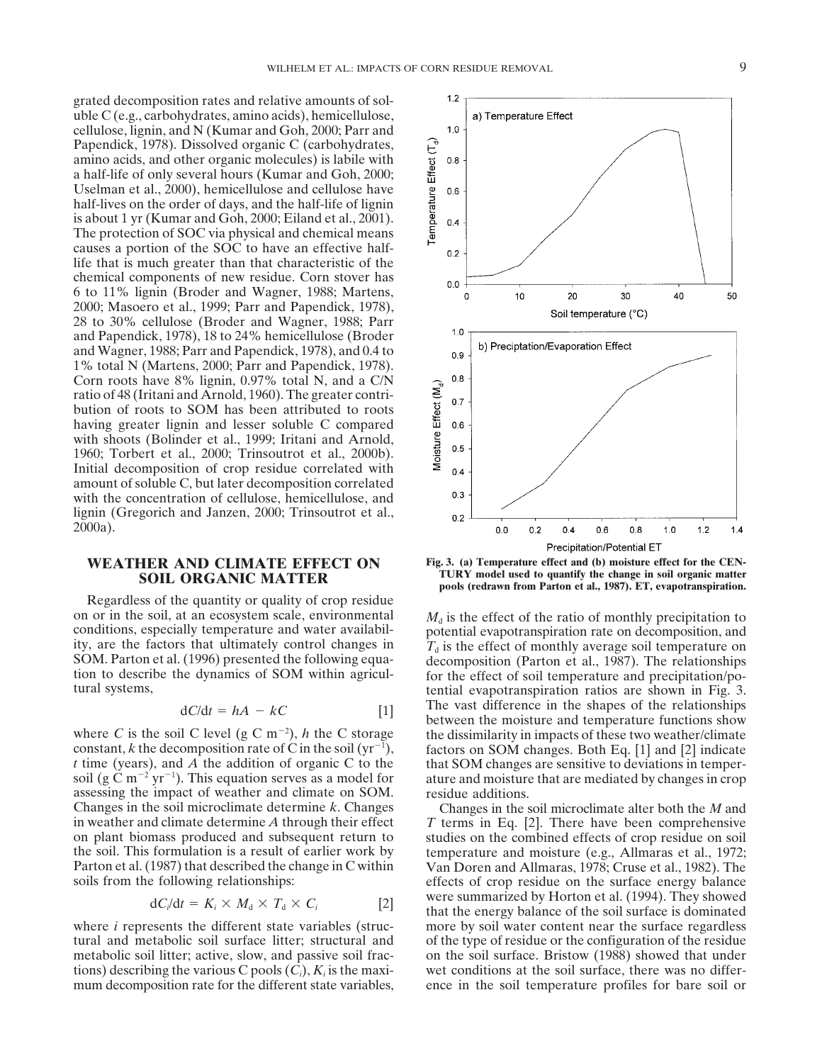grated decomposition rates and relative amounts of soluble C (e.g., carbohydrates, amino acids), hemicellulose, cellulose, lignin, and N (Kumar and Goh, 2000; Parr and Papendick, 1978). Dissolved organic C (carbohydrates, amino acids, and other organic molecules) is labile with a half-life of only several hours (Kumar and Goh, 2000; Uselman et al., 2000), hemicellulose and cellulose have half-lives on the order of days, and the half-life of lignin is about 1 yr (Kumar and Goh, 2000; Eiland et al., 2001). The protection of SOC via physical and chemical means causes a portion of the SOC to have an effective halflife that is much greater than that characteristic of the chemical components of new residue. Corn stover has 6 to 11% lignin (Broder and Wagner, 1988; Martens, 2000; Masoero et al., 1999; Parr and Papendick, 1978), 28 to 30% cellulose (Broder and Wagner, 1988; Parr and Papendick, 1978), 18 to 24% hemicellulose (Broder and Wagner, 1988; Parr and Papendick, 1978), and 0.4 to 1% total N (Martens, 2000; Parr and Papendick, 1978). Corn roots have 8% lignin, 0.97% total N, and a C/N ratio of 48 (Iritani and Arnold, 1960). The greater contribution of roots to SOM has been attributed to roots having greater lignin and lesser soluble C compared with shoots (Bolinder et al., 1999; Iritani and Arnold, 1960; Torbert et al., 2000; Trinsoutrot et al., 2000b). Initial decomposition of crop residue correlated with amount of soluble C, but later decomposition correlated with the concentration of cellulose, hemicellulose, and lignin (Gregorich and Janzen, 2000; Trinsoutrot et al., 2000a).

Regardless of the quantity or quality of crop residue

$$
dC/dt = hA - kC \tag{1}
$$

where *C* is the soil C level (g C m<sup>-2</sup>), h the C storage constant, *k* the decomposition rate of C in the soil ( $yr^{-1}$ ), *t* time (years), and *A* the addition of organic C to the that SOM changes are sensitive to deviations in tempersoil (g C m<sup>-2</sup> yr<sup>-1</sup>). This equation serves as a model for assessing the impact of weather and climate on SOM. residue additions.<br>Changes in the soil microclimate determine  $k$ . Changes Changes in the s in weather and climate determine *A* through their effect *T* terms in Eq. [2]. There have been comprehensive on plant biomass produced and subsequent return to studies on the combined effects of crop residue on soil on plant biomass produced and subsequent return to studies on the combined effects of crop residue on soil<br>the soil. This formulation is a result of earlier work by temperature and moisture (e.g., Allmaras et al., 1972; Parton et al. (1987) that described the change in C within Van Doren and Allmaras, 1978; Cruse et al., 1982). The

$$
dC/dt = K_i \times M_d \times T_d \times C_i \tag{2}
$$

tural and metabolic soil surface litter; structural and of the type of residue or the configuration of the residue metabolic soil litter; active, slow, and passive soil frac- on the soil surface. Bristow (1988) showed that under tions) describing the various C pools  $(C_i)$ ,  $K_i$  is the maxi-<br>mum decomposition rate for the different state variables, ence in the soil temperature profiles for bare soil or



**WEATHER AND CLIMATE EFFECT ON** Fig. 3. (a) Temperature effect and (b) moisture effect for the CEN-<br> **SOIL ORGANIC MATTER** TURY model used to quantify the change in soil organic matter pools (redrawn from Parton et al., 1987). ET, evapotranspiration.

on or in the soil, at an ecosystem scale, environmental conditions, especially temperature and water availabil-<br>ity, are the factors that ultimately control changes in  $T_d$  is the effect of monthly average soil temperatur The vast difference in the shapes of the relationships between the moisture and temperature functions show the dissimilarity in impacts of these two weather/climate factors on SOM changes. Both Eq. [1] and [2] indicate ature and moisture that are mediated by changes in crop

Changes in the soil microclimate alter both the *M* and temperature and moisture (e.g., Allmaras et al., 1972; soils from the following relationships: effects of crop residue on the surface energy balance  $dC_i/dt = K_i \times M_d \times T_d \times C_i$  [2] were summarized by Horton et al. (1994). They showed<br>where *i* represents the different state variables (struc-<br>more by soil water content near the surface regardless more by soil water content near the surface regardless ence in the soil temperature profiles for bare soil or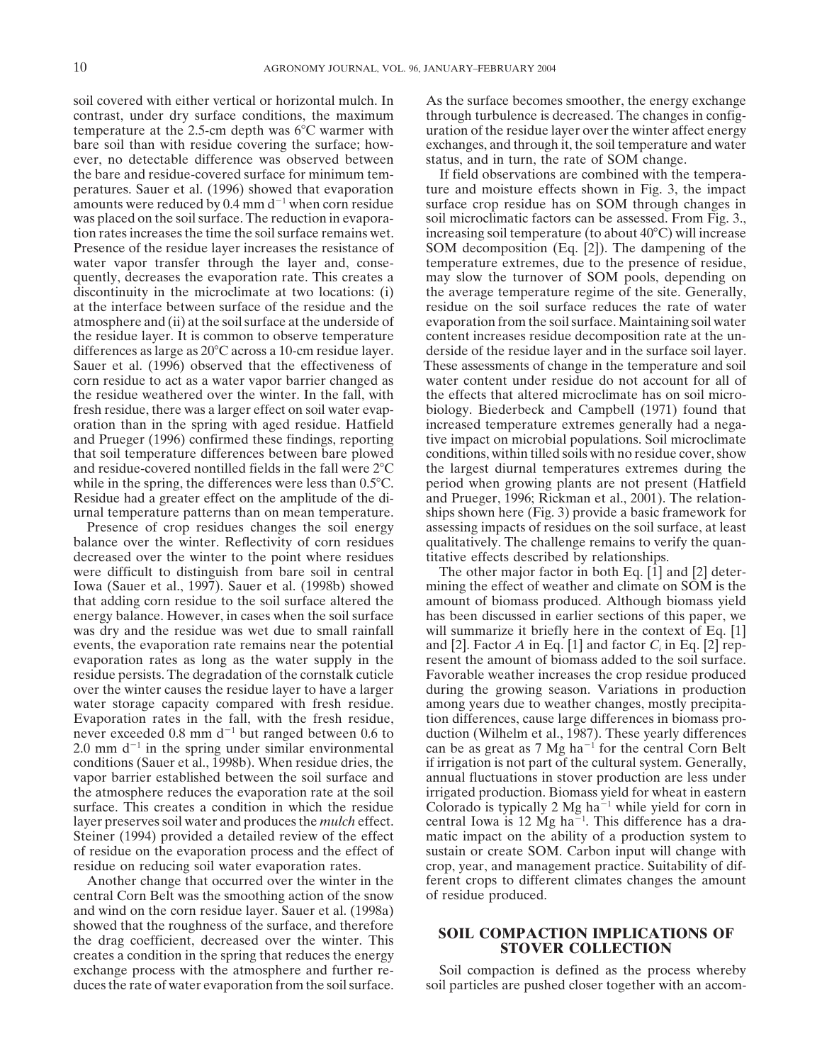contrast, under dry surface conditions, the maximum through turbulence is decreased. The changes in configtemperature at the 2.5-cm depth was 6<sup>o</sup>C warmer with bare soil than with residue covering the surface; how- exchanges, and through it, the soil temperature and water ever, no detectable difference was observed between status, and in turn, the rate of SOM change. the bare and residue-covered surface for minimum tem- If field observations are combined with the temperaperatures. Sauer et al. (1996) showed that evaporation ture and moisture effects shown in Fig. 3, the impact amounts were reduced by  $0.4$  mm d<sup>-1</sup> when corn residue surface crop residue has on SOM through changes in was placed on the soil surface. The reduction in evapora-<br>soil microclimatic factors can be assessed. From Fig. 3., tion rates increases the time the soil surface remains wet. Presence of the residue layer increases the resistance of SOM decomposition (Eq. [2]). The dampening of the water vapor transfer through the layer and, conse-<br>temperature extremes, due to the presence of residue, quently, decreases the evaporation rate. This creates a may slow the turnover of SOM pools, depending on discontinuity in the microclimate at two locations: (i) the average temperature regime of the site. Generally, at the interface between surface of the residue and the residue on the soil surface reduces the rate of water atmosphere and (ii) at the soil surface at the underside of evaporation from the soil surface. Maintaining soil water the residue layer. It is common to observe temperature content increases residue decomposition rate at the undifferences as large as  $20^{\circ}$ C across a 10-cm residue layer. Sauer et al. (1996) observed that the effectiveness of These assessments of change in the temperature and soil corn residue to act as a water vapor barrier changed as water content under residue do not account for all of the residue weathered over the winter. In the fall, with the effects that altered microclimate has on soil microfresh residue, there was a larger effect on soil water evap- biology. Biederbeck and Campbell (1971) found that oration than in the spring with aged residue. Hatfield increased temperature extremes generally had a negaand Prueger (1996) confirmed these findings, reporting tive impact on microbial populations. Soil microclimate that soil temperature differences between bare plowed conditions, within tilled soils with no residue cover, sh that soil temperature differences between bare plowed and residue-covered nontilled fields in the fall were 2°C while in the spring, the differences were less than  $0.5^{\circ}$ C. Residue had a greater effect on the amplitude of the di- and Prueger, 1996; Rickman et al., 2001). The relationurnal temperature patterns than on mean temperature. ships shown here (Fig. 3) provide a basic framework for

balance over the winter. Reflectivity of corn residues qualitatively. The challenge remains to verify the quandecreased over the winter to the point where residues titative effects described by relationships.<br>were difficult to distinguish from bare soil in central The other major factor in both Eq. [1] a Iowa (Sauer et al., 1997). Sauer et al. (1998b) showed mining the effect of weather and climate on SOM is the that adding corn residue to the soil surface altered the amount of biomass produced. Although biomass yield energy balance. However, in cases when the soil surface has been discussed in earlier sections of this paper, we was dry and the residue was wet due to small rainfall will summarize it briefly here in the context of Eq. [1] events, the evaporation rate remains near the potential and [2]. Factor  $A$  in Eq. [1] and factor  $C_i$  in Eq. [2] rep-<br>evaporation rates as long as the water supply in the resent the amount of biomass added to the soil su residue persists. The degradation of the cornstalk cuticle Favorable weather increases the crop residue produced over the winter causes the residue layer to have a larger during the growing season. Variations in production water storage capacity compared with fresh residue. among years due to weather changes, mostly precipita-Evaporation rates in the fall, with the fresh residue, tion differences, cause large differences in biomass pronever exceeded 0.8 mm  $d^{-1}$  but ranged between 0.6 to duction (Wilhelm et al., 1987). These yearly differences 2.0 mm  $d^{-1}$  in the spring under similar environmental can be as great as 7 Mg ha<sup>-1</sup> for the central Corn Belt conditions (Sauer et al., 1998b). When residue dries, the if irrigation is not part of the cultural system. vapor barrier established between the soil surface and annual fluctuations in stover production are less under the atmosphere reduces the evaporation rate at the soil irrigated production. Biomass yield for wheat in eastern surface. This creates a condition in which the residue Colorado is typically 2 Mg ha<sup>-1</sup> while yield for corn in layer preserves soil water and produces the *mulch* effect. . . central Iowa is 12 Mg ha<sup>-1</sup>. This difference has a dra-Steiner (1994) provided a detailed review of the effect matic impact on the ability of a production system to of residue on the evaporation process and the effect of sustain or create SOM. Carbon input will change with residue on reducing soil water evaporation rates. crop, year, and management practice. Suitability of dif-

central Corn Belt was the smoothing action of the snow of residue produced. and wind on the corn residue layer. Sauer et al. (1998a) showed that the roughness of the surface, and therefore<br>the drag coefficient, decreased over the winter. This<br>creates a condition in the spring that reduces the energy<br>**STOVER COLLECTION** exchange process with the atmosphere and further re- Soil compaction is defined as the process whereby

soil covered with either vertical or horizontal mulch. In As the surface becomes smoother, the energy exchange uration of the residue layer over the winter affect energy

increasing soil temperature (to about  $40^{\circ}$ C) will increase derside of the residue layer and in the surface soil layer. the largest diurnal temperatures extremes during the period when growing plants are not present (Hatfield Presence of crop residues changes the soil energy assessing impacts of residues on the soil surface, at least

The other major factor in both Eq.  $[1]$  and  $[2]$  deterresent the amount of biomass added to the soil surface. if irrigation is not part of the cultural system. Generally, Another change that occurred over the winter in the ferent crops to different climates changes the amount

duces the rate of water evaporation from the soil surface. soil particles are pushed closer together with an accom-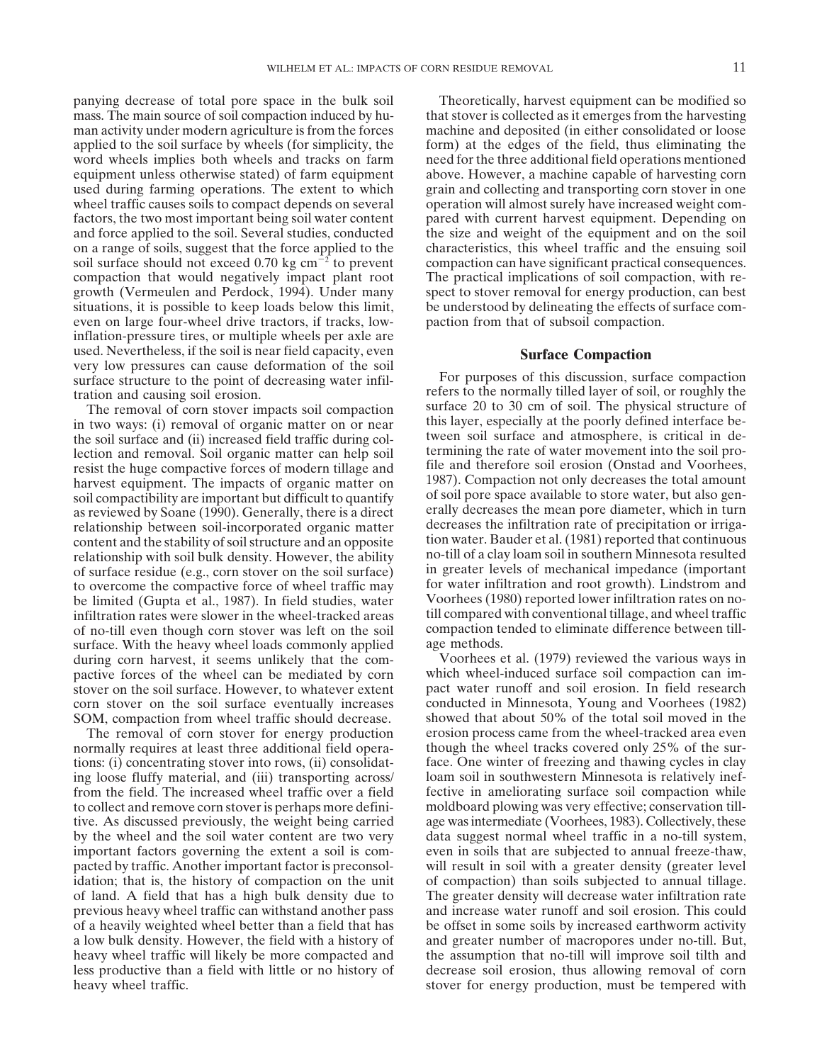even on large four-wheel drive tractors, if tracks, low- paction from that of subsoil compaction. inflation-pressure tires, or multiple wheels per axle are

used. Nevertheless, if the soil is near field capacity, even<br>
very low pressures can cause deformation of the soil<br>
surface structure to the point of decreasing water infil-<br>
For purposes of this discussion, surface compac surface structure to the point of decreasing water infil-

in two ways: (i) removal of organic matter on or near<br>the soil surface and (ii) increased field traffic during collection and removal. Soil organic matter can help soil<br>lection and removal. Soil organic matter can help soi harvest equipment. The impacts of organic matter on 1987). Compaction not only decreases the total amount soil compactibility are important but difficult to quantify of soil pore space available to store water, but also ge soil compactibility are important but difficult to quantify as reviewed by Soane (1990). Generally, there is a direct erally decreases the mean pore diameter, which in turn relationship between soil-incorporated organic matter decreases the infiltration rate of precipitation or irrigacontent and the stability of soil structure and an opposite tion water. Bauder et al. (1981) reported that continuous<br>relationship with soil bulk density. However, the ability no-till of a clay loam soil in southern Minnes relationship with soil bulk density. However, the ability of surface residue (e.g., corn stover on the soil surface) in greater levels of mechanical impedance (important<br>to overcome the compactive force of wheel traffic may for water infiltration and root growth). Lindstrom and to overcome the compactive force of wheel traffic may be limited (Gupta et al., 1987). In field studies, water Voorhees (1980) reported lower infiltration rates on noinfiltration rates were slower in the wheel-tracked areas till compared with conventional tillage, and wheel traffic of no-till even though corn stover was left on the soil compaction tended to eliminate difference between tillsurface. With the heavy wheel loads commonly applied age methods.<br>
during corn harvest, it seems unlikely that the com-<br>
Voorhees et al. (1979) reviewed the various ways in during corn harvest, it seems unlikely that the com-<br>
Noorhees et al. (1979) reviewed the various ways in<br>
pactive forces of the wheel can be mediated by corn<br>
which wheel-induced surface soil compaction can impactive forces of the wheel-can be mediated by corn stover on the soil surface. However, to whatever extent pact water runoff and soil erosion. In field research corn stover on the soil surface eventually increases conducted in Minnesota, Young and Voorhees (1982) SOM, compaction from wheel traffic should decrease.

normally requires at least three additional field opera-<br>though the wheel tracks covered only 25% of the sur-<br>tions: (i) concentrating stover into rows, (ii) consolidat-<br>face. One winter of freezing and thawing cycles in c tions: (i) concentrating stover into rows, (ii) consolidating loose fluffy material, and (iii) transporting across/ loam soil in southwestern Minnesota is relatively ineffrom the field. The increased wheel traffic over a field fective in ameliorating surface soil compaction while to collect and remove corn stover is perhaps more defini- moldboard plowing was very effective; conservation tilltive. As discussed previously, the weight being carried age was intermediate (Voorhees, 1983). Collectively, these by the wheel and the soil water content are two very data suggest normal wheel traffic in a no-till system, important factors governing the extent a soil is com- even in soils that are subjected to annual freeze-thaw, pacted by traffic. Another important factor is preconsol- will result in soil with a greater density (greater level idation; that is, the history of compaction on the unit of compaction) than soils subjected to annual tillage. of land. A field that has a high bulk density due to The greater density will decrease water infiltration rate previous heavy wheel traffic can withstand another pass and increase water runoff and soil erosion. This could of a heavily weighted wheel better than a field that has be offset in some soils by increased earthworm activity a low bulk density. However, the field with a history of and greater number of macropores under no-till. But, heavy wheel traffic will likely be more compacted and the assumption that no-till will improve soil tilth and less productive than a field with little or no history of decrease soil erosion, thus allowing removal of corn heavy wheel traffic. Stover for energy production, must be tempered with

panying decrease of total pore space in the bulk soil Theoretically, harvest equipment can be modified so mass. The main source of soil compaction induced by hu- that stover is collected as it emerges from the harvesting man activity under modern agriculture is from the forces machine and deposited (in either consolidated or loose applied to the soil surface by wheels (for simplicity, the form) at the edges of the field, thus eliminating the word wheels implies both wheels and tracks on farm need for the three additional field operations mentioned equipment unless otherwise stated) of farm equipment above. However, a machine capable of harvesting corn used during farming operations. The extent to which grain and collecting and transporting corn stover in one wheel traffic causes soils to compact depends on several operation will almost surely have increased weight comfactors, the two most important being soil water content pared with current harvest equipment. Depending on and force applied to the soil. Several studies, conducted the size and weight of the equipment and on the soil on a range of soils, suggest that the force applied to the characteristics, this wheel traffic and the ensuing soil soil surface should not exceed 0.70 kg cm<sup>-2</sup> to prevent compaction can have significant practical consequences. compaction that would negatively impact plant root The practical implications of soil compaction, with regrowth (Vermeulen and Perdock, 1994). Under many spect to stover removal for energy production, can best situations, it is possible to keep loads below this limit, be understood by delineating the effects of surface com-

refers to the normally tilled layer of soil, or roughly the tration and causing soil erosion. The removal of corn stover impacts soil compaction surface 20 to 30 cm of soil. The physical structure of two ways: (i) removal of organic matter on or near this layer, especially at the poorly defined interface be-

The removal of corn stover for energy production erosion process came from the wheel-tracked area even<br>ormally requires at least three additional field opera-<br>though the wheel tracks covered only 25% of the sur-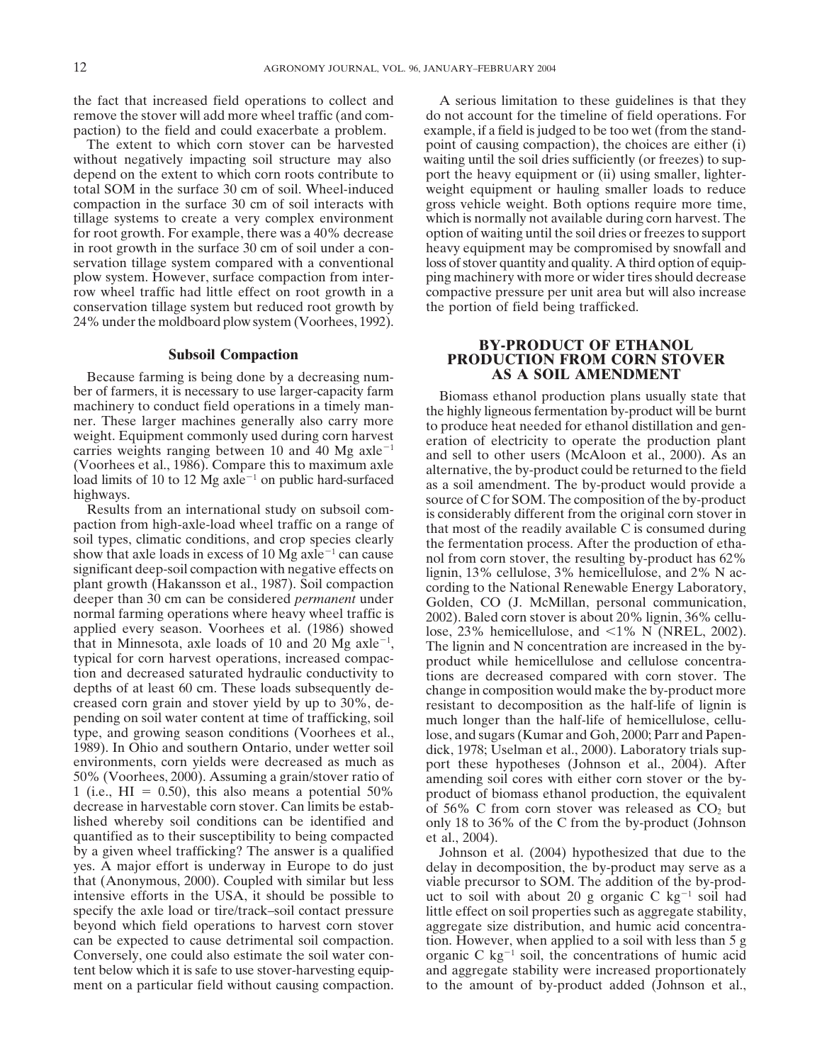the fact that increased field operations to collect and A serious limitation to these guidelines is that they

conservation tillage system but reduced root growth by the portion of field being trafficked. 24% under the moldboard plow system (Voorhees, 1992).

Because farming is being done by a decreasing num-<br>ber of farmers, it is necessary to use larger-capacity farm ber of farmers, it is necessary to use larger-capacity farm<br>machinery to conduct field operations in a timely man-<br>ner. These larger machines generally also carry more<br>weight. Equipment commonly used during corn harvest<br>ca

that in Minnesota, axle loads of 10 and 20 Mg axle<sup>-1</sup>,<br>
the lignin and N concentration are increased in the by-<br>
typical for corn harvest operations, increased compac-<br>
tions are decreased same dellulose concentra-<br>
dept decrease in harvestable corn stover. Can limits be estab-<br>  $\frac{1}{18}$  of 56% C from corn stover was released as  $CO_2$  but<br>  $\frac{1}{18}$  only 18 to 36% of the C from the by-product (Johnson quantified as to their susceptibility to being compacted et al., 2004). by a given wheel trafficking? The answer is a qualified Johnson et al. (2004) hypothesized that due to the yes. A major effort is underway in Europe to do just delay in decomposition, the by-product may serve as a that (Anonymous, 2000). Coupled with similar but less viable precursor to SOM. The addition of the by-prodspecify the axle load or tire/track–soil contact pressure little effect on soil properties such as aggregate stability, beyond which field operations to harvest corn stover aggregate size distribution, and humic acid concentracan be expected to cause detrimental soil compaction. tion. However, when applied to a soil with less than 5 g tent below which it is safe to use stover-harvesting equip- and aggregate stability were increased proportionately

remove the stover will add more wheel traffic (and com- do not account for the timeline of field operations. For paction) to the field and could exacerbate a problem. example, if a field is judged to be too wet (from the stand-The extent to which corn stover can be harvested point of causing compaction), the choices are either (i) without negatively impacting soil structure may also waiting until the soil dries sufficiently (or freezes) to supdepend on the extent to which corn roots contribute to port the heavy equipment or (ii) using smaller, lightertotal SOM in the surface 30 cm of soil. Wheel-induced weight equipment or hauling smaller loads to reduce compaction in the surface 30 cm of soil interacts with gross vehicle weight. Both options require more time, tillage systems to create a very complex environment which is normally not available during corn harvest. The for root growth. For example, there was a 40% decrease option of waiting until the soil dries or freezes to support in root growth in the surface 30 cm of soil under a con-<br>heavy equipment may be compromised by snowfall and servation tillage system compared with a conventional loss of stover quantity and quality. A third option of equipplow system. However, surface compaction from inter- ping machinery with more or wider tires should decrease row wheel traffic had little effect on root growth in a compactive pressure per unit area but will also increase

# **BY-PRODUCT OF ETHANOL**<br>**PRODUCTION FROM CORN STOVER**<br>**AS A SOIL AMENDMENT**

Coorhees et al., 1986). Compare this to may when a sell to other users (McAloon et al., 2000). As an all (Noorhees et al., 1986). Compare this to maximum axle alternative, the by-product could be returned to the field of only 18 to 36% of the C from the by-product (Johnson

intensive efforts in the USA, it should be possible to uct to soil with about 20 g organic C kg<sup>-1</sup> soil had Conversely, one could also estimate the soil water con- organic C kg<sup>-1</sup> soil, the concentrations of humic acid ment on a particular field without causing compaction. to the amount of by-product added (Johnson et al.,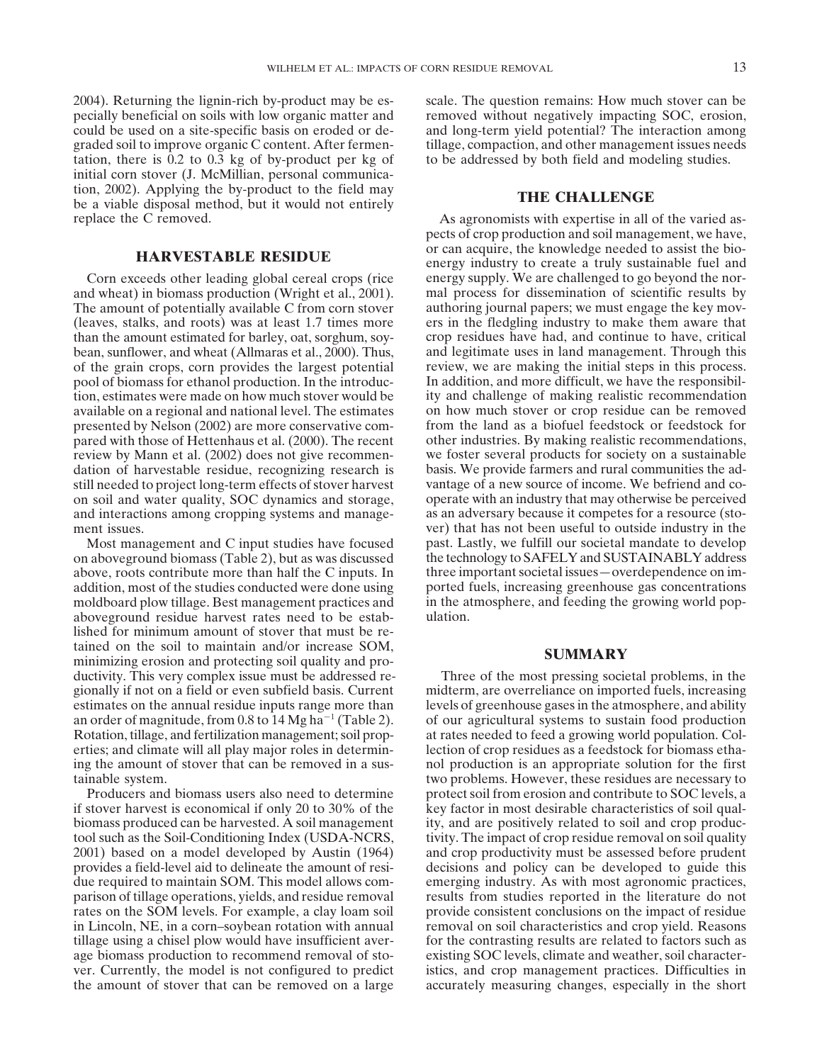2004). Returning the lignin-rich by-product may be es- scale. The question remains: How much stover can be tation, there is 0.2 to 0.3 kg of by-product per kg of to be addressed by both field and modeling studies. initial corn stover (J. McMillian, personal communication, 2002). Applying the by-product to the field may **THE CHALLENGE** be a viable disposal method, but it would not entirely replace the C removed. As agronomists with expertise in all of the varied as-

and wheat) in biomass production (Wright et al., 2001). mal process for dissemination of scientific results by<br>The amount of potentially available C from corn stover authoring journal papers; we must engage the key mov-The amount of potentially available C from corn stover (leaves, stalks, and roots) was at least 1.7 times more ers in the fledgling industry to make them aware that than the amount estimated for barley, oat, sorghum, soy-<br>bean, sunflower, and wheat (Allmaras et al., 2000). Thus, and legitimate uses in land management. Through this bean, sunflower, and wheat (Allmaras et al., 2000). Thus, of the grain crops, corn provides the largest potential review, we are making the initial steps in this process. pool of biomass for ethanol production. In the introduc- In addition, and more difficult, we have the responsibiltion, estimates were made on how much stover would be ity and challenge of making realistic recommendation available on a regional and national level. The estimates on how much stover or crop residue can be removed<br>presented by Nelson (2002) are more conservative com-<br>from the land as a biofuel feedstock or feedstock for presented by Nelson (2002) are more conservative compared with those of Hettenhaus et al. (2000). The recent other industries. By making realistic recommendations, review by Mann et al. (2002) does not give recommen- we foster several products for society on a sustainable dation of harvestable residue, recognizing research is basis. We provide farmers and rural communities the adstill needed to project long-term effects of stover harvest vantage of a new source of income. We befriend and coon soil and water quality, SOC dynamics and storage, operate with an industry that may otherwise be perceived and interactions among cropping systems and manage- as an adversary because it competes for a resource (sto-

aboveground residue harvest rates need to be estab- ulation. lished for minimum amount of stover that must be retained on the soil to maintain and/or increase SOM,<br>
minimizing erosion and protecting soil quality and pro-<br>
SUMMARY ductivity. This very complex issue must be addressed re- Three of the most pressing societal problems, in the Rotation, tillage, and fertilization management; soil prop-

the amount of stover that can be removed on a large accurately measuring changes, especially in the short

pecially beneficial on soils with low organic matter and removed without negatively impacting SOC, erosion, could be used on a site-specific basis on eroded or de- and long-term yield potential? The interaction among graded soil to improve organic C content. After fermen- tillage, compaction, and other management issues needs

pects of crop production and soil management, we have, **HARVESTABLE RESIDUE** or can acquire, the knowledge needed to assist the bio-<br>energy industry to create a truly sustainable fuel and Corn exceeds other leading global cereal crops (rice energy supply. We are challenged to go beyond the norment issues.<br>
Wer) that has not been useful to outside industry in the<br>
Most management and C input studies have focused past. Lastly, we fulfill our societal mandate to develop past. Lastly, we fulfill our societal mandate to develop on aboveground biomass (Table 2), but as was discussed the technology to SAFELY and SUSTAINABLY address above, roots contribute more than half the C inputs. In three important societal issues—overdependence on imaddition, most of the studies conducted were done using ported fuels, increasing greenhouse gas concentrations moldboard plow tillage. Best management practices and in the atmosphere, and feeding the growing world pop-

gionally if not on a field or even subfield basis. Current midterm, are overreliance on imported fuels, increasing estimates on the annual residue inputs range more than levels of greenhouse gases in the atmosphere, and ability an order of magnitude, from 0.8 to 14 Mg ha<sup>-1</sup> (Table 2). of our agricultural systems to sustain food production Rotation, tillage, and fertilization management; soil prop-<br>Rotation, tillage, and fertilization management erties; and climate will all play major roles in determin- lection of crop residues as a feedstock for biomass ethaing the amount of stover that can be removed in a sus- nol production is an appropriate solution for the first tainable system. two problems. However, these residues are necessary to Producers and biomass users also need to determine protect soil from erosion and contribute to SOC levels, a if stover harvest is economical if only 20 to 30% of the key factor in most desirable characteristics of soil qualbiomass produced can be harvested. A soil management ity, and are positively related to soil and crop productool such as the Soil-Conditioning Index (USDA-NCRS, tivity. The impact of crop residue removal on soil quality 2001) based on a model developed by Austin (1964) and crop productivity must be assessed before prudent provides a field-level aid to delineate the amount of resi- decisions and policy can be developed to guide this due required to maintain SOM. This model allows com- emerging industry. As with most agronomic practices, parison of tillage operations, yields, and residue removal results from studies reported in the literature do not rates on the SOM levels. For example, a clay loam soil provide consistent conclusions on the impact of residue in Lincoln, NE, in a corn–soybean rotation with annual removal on soil characteristics and crop yield. Reasons tillage using a chisel plow would have insufficient aver- for the contrasting results are related to factors such as age biomass production to recommend removal of sto- existing SOC levels, climate and weather, soil characterver. Currently, the model is not configured to predict istics, and crop management practices. Difficulties in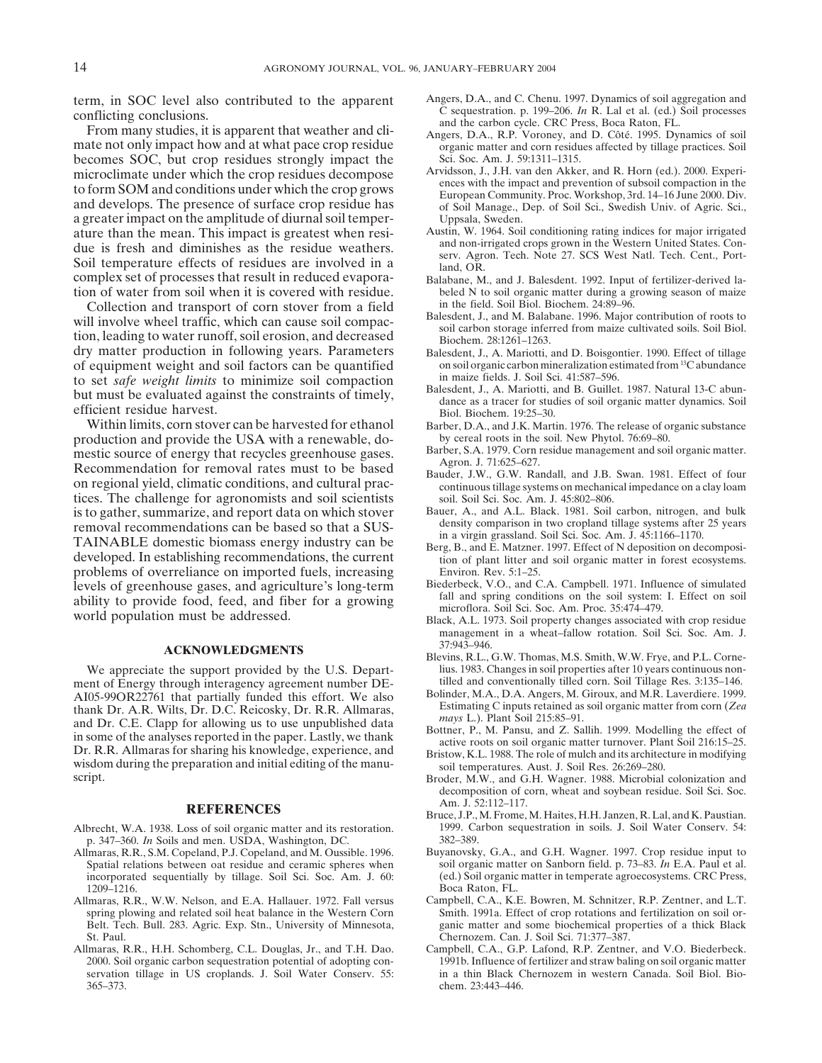mate not only impact how and at what pace crop residue organic matter and corn residues affected by tillage practices. Soil becomes SOC, but crop residues strongly impact the Sci. Soc. Am. J. 59:1311–1315.<br>microclimate under which the crop residues decompose Arvidsson, J., J.H. van den Akker, and R. Horn (ed.). 2000. Experia greater impact on the amplitude of diurnal soil temperature than the mean. This impact is greatest when resi-<br>
Austin, W. 1964. Soil conditioning rating indices for major irrigated<br>
and non-irrigated crops grown in the Western United States. Condue is fresh and diminishes as the residue weathers.<br>
Soil temperature effects of residues are involved in a<br>
complex set of processes that result in reduced evapora-<br>
land, OR.<br>
Balabane, M., and J. Balesdent. 1992. Input

Collection and transport of corn stover from a field in the field. Soil Biol. Biochem. 24:89–96.<br>Il involve wheel traffic which can cause soil compace Balesdent, J., and M. Balabane. 1996. Major contribution of roots to will involve wheel traffic, which can cause soil compacing to matter production, leading to water runoff, soil erosion, and decreased<br>dry matter production in following years. Parameters Balesdent, J., A. Mariotti, and D. of equipment weight and soil factors can be quantified on soil organic carbon mineralization estimated from <sup>13</sup>C abundance<br>to set *safe weight limits* to minimize soil compaction in maize fields. J. Soil Sci. 41:587–596. to set *safe weight limits* to minimize soil compaction<br>but must be evaluated against the constraints of timely,<br>efficient residue harvest.<br>Within limits, corn stover can be harvested for ethanol back area of soil Sicolem.

production and provide the USA with a renewable, do-<br>mestic source of energy that recycles greenhouse gases Barber, S.A. 1979. Corn residue management and soil organic matter. mestic source of energy that recycles greenhouse gases. Barber, S.A. 1979. Corn response to the management and social matter. Recommendation for removal rates must to be based<br>on regional yield, climatic conditions, and cultural prace<br>on thinuous tillage systems on mechanical impedance on a clay loam tices. The challenge for agronomists and soil scientists soil. Soil Sci. Soc. Am. J. 45:802–806.<br>is to gather, summarize, and report data on which stover Bauer, A., and A.L. Black. 1981. Soil carbon, nitrogen, and bulk is to gather, summarize, and report data on which stover<br>removal recommendations can be based so that a SUS density comparison in two cropland tillage systems after 25 years removal recommendations can be based so that a SUS-<br>
TAINABLE domestic biomass energy industry can be<br>
density comparison in two cropiand tillage systems after 25 years<br>
in a virgin grassland. Soil Sci. Soc. Am. J. 45:1166 problems of overreliance on imported fuels, increasing Environ. Rev. 5:1–25.<br>
levels of greenhouse gases, and agriculture's long-term Biederbeck, V.O., and C.A. Campbell. 1971. Influence of simulated levels of greenhouse gases, and agriculture's long-term<br>ability to provide food, feed, and fiber for a growing<br>world population must be addressed.<br>World population must be addressed.<br>Black, A.L. 1973. Soil property changes

ment of Energy through interagency agreement number DE-<br>A 105-99OR22761 that partially funded this effort We also Bolinder, M.A., D.A. Angers, M. Giroux, and M.R. Laverdiere. 1999. AI05-99OR22761 that partially funded this effort. We also Bolinder, M.A., D.A. Angers, M. Giroux, and M.R. Laverdiere. 1999.<br>
Estimating C inputs retained as soil organic matter from corn (Zea thank Dr. A.R. Wilts, Dr. D.C. Reicosky, Dr. R.R. Allmaras,<br>
and Dr. C.E. Clapp for allowing us to use unpublished data<br>
in some of the analyses reported in the paper. Lastly, we thank<br>
Dr. R.R. Allmaras for sharing his kn

- 
- Allmaras, R.R., S.M. Copeland, P.J. Copeland, and M. Oussible. 1996. Buyanovsky, G.A., and G.H. Wagner. 1997. Crop residue input to Spatial relations between oat residue and ceramic spheres when soil organic matter on Sanb incorporated sequentially by tillage. Soil Sci. Soc. Am. J. 60: 1209–1216.<br>Imaras, R.R., W.W. Nelson, and E.A. Hallauer. 1972. Fall versus Campbell, C.A., K.E. Bowren, M. Schnitzer, R.P. Zentner, and L.T.
- Belt. Tech. Bull. 283. Agric. Exp. Stn., University of Minnesota,
- Allmaras, R.R., H.H. Schomberg, C.L. Douglas, Jr., and T.H. Dao. 365–373. chem. 23:443–446.
- term, in SOC level also contributed to the apparent Angers, D.A., and C. Chenu. 1997. Dynamics of soil aggregation and C. Chenu. 1997. Dynamics of soil aggregation and C. Chenu. 199-206. In R. Lal et al. (ed.) Soil process conflicting conclusions.<br>
From many studies, it is apparent that weather and cli-<br>
From many studies, it is apparent that weather and cli-<br>
Angers, D.A., R.P. Voroney, and D. Côté. 1995. Dynamics of soil
	-
- microclimate under which the crop residues decompose Arvidsson, J., J.H. van den Akker, and R. Horn (ed.). 2000. Experi-<br>Arvidsson, J., J.H. van den Akker, and R. Horn (ed.). 2000. Experi-<br>to form SOM and conditions under to form SOM and conditions under which the crop grows<br>and develops. The presence of surface crop residue has<br>a greater impact on the amplitude of diurnal soil temper-<br>Uppsala, Sweden.<br>Uppsala, Sweden.
	-
	- beled N to soil organic matter during a growing season of maize in the field. Soil Biol. Biochem. 24:89–96.
	-
	- Balesdent, J., A. Mariotti, and D. Boisgontier. 1990. Effect of tillage
	-
	- Barber, D.A., and J.K. Martin. 1976. The release of organic substance
	-
	-
	-
	-
	-
	- management in a wheat–fallow rotation. Soil Sci. Soc. Am. J.
	- **ACKNOWLEDGMENTS**<br>27:943–946. **Blevins, R.L., G.W. Thomas, M.S. Smith, W.W. Frye, and P.L. Corne-**<br>21:083. Changes in soil properties after 10 years continuous non-We appreciate the support provided by the U.S. Depart-<br>
	ent of Energy through interagency agreement number DE-<br>
	lilled and conventionally tilled corn. Soil Tillage Res. 3:135–146.
		-
		-
		-
- script. Broder, M.W., and G.H. Wagner. 1988. Microbial colonization and decomposition of corn, wheat and soybean residue. Soil Sci. Soc. Am. J. 52:112-117.
- Am. J. 52:112–117. **REFERENCES** Bruce, J.P., M. Frome, M. Haites, H.H. Janzen, R. Lal, and K. Paustian. Albrecht, W.A. 1938. Loss of soil organic matter and its restoration. 1999. Carbon sequestration in soils. J. Soil Water Conserv. 54:<br>n 347–360 *In* Soils and men USDA Washington DC 382–389. p. 347–360. *In* Soils and men. USDA, Washington, DC. 382–389.<br>Imaras, R.R., S.M. Copeland, P.J. Copeland, and M. Oussible. 1996. Buyanovsky, G.A., and G.H. Wagner. 1997. Crop residue input to
	- Spatial relations between oat residue and ceramic spheres when soil organic matter on Sanborn field. p. 73–83. In E.A. Paul et al. incorporated sequentially by tillage. Soil Sci. Soc. Am. J. 60: (ed.) Soil organic matter i
- Allmaras, R.R., W.W. Nelson, and E.A. Hallauer. 1972. Fall versus Campbell, C.A., K.E. Bowren, M. Schnitzer, R.P. Zentner, and L.T. spring plowing and related soil heat balance in the Western Corn Smith. 1991a. Effect of c spring plowing and related soil heat balance in the Western Corn Smith. 1991a. Effect of crop rotations and fertilization on soil or-<br>Belt. Tech. Bull. 283. Agric. Exp. Stn., University of Minnesota, eanic matter and some St. Paul.<br>Imaras, R.R., H.H. Schomberg, C.L. Douglas, Jr., and T.H. Dao. Campbell, C.A., G.P. Lafond, R.P. Zentner, and V.O. Biederbeck.
	- 2000. Soil organic carbon sequestration potential of adopting con-<br>
	2000. Soil organic carbon sequestration potential of adopting con-<br>
	in a thin Black Chernozem in western Canada. Soil Biol. Bioin a thin Black Chernozem in western Canada. Soil Biol. Bio-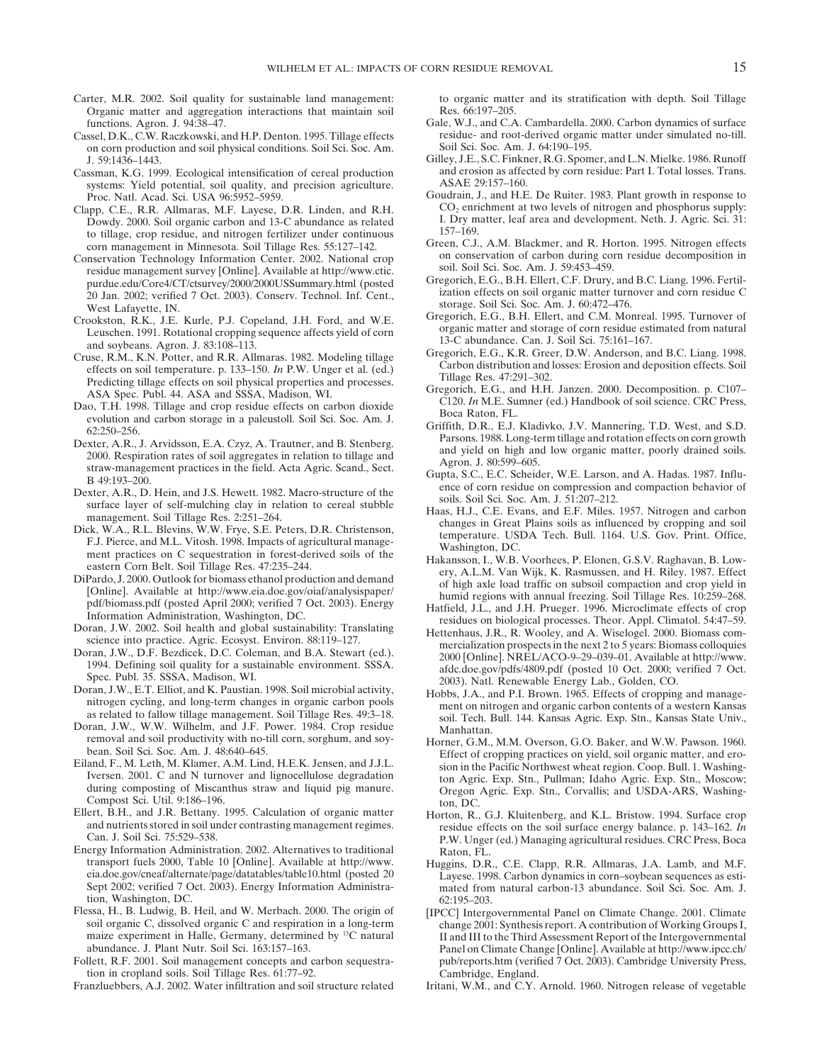- Carter, M.R. 2002. Soil quality for sustainable land management: to organic matter and its stratification with depth. Soil Tillage Organic matter and aggregation interactions that maintain soil Res. 66:197-205.<br>
Gale, W.J., and C.A
- Cassel, D.K., C.W. Raczkowski, and H.P. Denton. 1995. Tillage effects residue- and root-derived organic on corn production and soil physical conditions. Soil Sci. Soc. Am. Soil Sci. Soc. Am. J. 64:190–195. on corn production and soil physical conditions. Soil Sci. Soc. Am.
- Cassman, K.G. 1999. Ecological intensification of cereal production and erosion as affected by corn residue. The system is vield potential, soil quality, and precision agriculture. ASAE 29:157–160. systems: Yield potential, soil quality, and precision agriculture.<br>Proc. Natl. Acad. Sci. USA 96:5952–5959.
- Dowdy. 2000. Soil organic carbon and 13-C abundance as related I. Dry m<br>to tillage, crop residue, and nitrogen fertilizer under continuous 157–169.
- Conservation Technology Information Center. 2002. National crop on conservation of carbon during corneribus crop critical Available at http://www.ctic soil. Soil Sci. Soc. Am. J. 59:453–459. residue management survey [Online]. Available at http://www.ctic.<br>
purdue.edu/Core4/CT/ctsurvey/2000/2000USSummary.html (posted<br>
20 Jan. 2002; verified 7 Oct. 2003). Conserv. Technol. Inf. Cent.,<br>
West Lafayette, IN.<br>
West
- 
- 
- 
- 
- 
- 
- 
- 
- 
- 
- 
- 
- 
- Energy Information Administration. 2002. Alternatives to traditional Raton, FL.<br>transport fuels 2000, Table 10 [Online]. Available at http://www. Huggins. D.R tion, Washington, DC.<br>Flessa, H., B. Ludwig, B. Heil, and W. Merbach. 2000. The origin of
- 
- tion in cropland soils. Soil Tillage Res. 61:77–92. Cambridge, England.

- Gale, W.J., and C.A. Cambardella. 2000. Carbon dynamics of surface residue- and root-derived organic matter under simulated no-till.
- J. 59:1436–1443.<br>
I. Gilley, J.E., S.C. Finkner, R.G. Spomer, and L.N. Mielke. 1986. Runoff creating and erosion as affected by corn residue: Part I. Total losses. Trans.
- Goudrain, J., and H.E. De Ruiter. 1983. Plant growth in response to  $CO<sub>2</sub>$  enrichment at two levels of nitrogen and phosphorus supply: Clapp, C.E., R.R. Allmaras, M.F. Layese, D.R. Linden, and R.H. CO<sub>2</sub> enrichment at two levels of nitrogen and phosphorus supply:<br>Cowdy 2000 Soil organic carbon and 13-C abundance as related I. Dry matter, leaf area and dev
	- 157–169. to tillage Res. 55:127–142. Green, C.J., A.M. Blackmer, and R. Horton. 1995. Nitrogen effects corn management in Minnesota. Soil Tillage Res. 55:127–142. Green, C.J., A.M. Blackmer, and R. Horton. 1995. Nitrogen e
		- storage. Soil Sci. Soc. Am. J. 60:472–476.<br>Gregorich, E.G., B.H. Ellert, and C.M. Monreal. 1995. Turnover of
		-
		-
		-
		-
		-
		-
		-
		-
- Crookston, R.K., J.E. Kurle, P.J. Coptain, J.H. Ford, and W.E. Greenfroh, E.Q., H.H. Filer, and C.M. Montez, Constant and sophens. Again, T.B. S. Turnover of the state and sophens. Again, N.R. S. The constant and sophensi
	-
- removal and soil productivity with no-till corn, sorghum, and soy-<br>
bean. Soil Sci. Soc. Am. J. 48:640-645.<br>
Eiland, F., M. Leth, M. Klamer, A.M. Lind, H.E.K. Jensen, and J.J.L.<br>
Leth, M. Klamer, A.M. Lind, H.E.K. Jensen,
- Compost Sci. Util. 9:186–196.<br>
Ellert, B.H., and J.R. Bettany. 1995. Calculation of organic matter and nutrients stored in soil under contrasting management regimes.<br>
The Horton, R., G.J. Kluitenberg, and K.L. Bristow. 199
	- transport fuels 2000, Table 10 [Online]. Available at http://www.<br>
	eia.doe.gov/cneaf/alternate/page/datatables/table10.html (posted 20<br>
	Sept 2002; verified 7 Oct. 2003). Energy Information Administra-<br>
	tion, Washington, DC
- [IPCC] Intergovernmental Panel on Climate Change. 2001. Climate soil organic C, dissolved organic C and respiration in a long-term change 2001: Synthesis report. A contribution of Working Groups I, maize experiment in Halle, Germany, determined by <sup>13</sup>C natural II and III to the Third maize experiment in Halle, Germany, determined by <sup>13</sup>C natural II and III to the Third Assessment Report of the Intergovernmental abundance. J. Plant Nutr. Soil Sci. 163:157–163.<br>Panel on Climate Change [Online]. Availabl abundance. J. Plant Nutr. Soil Sci. 163:157–163. Panel on Climate Change [Online]. Available at http://www.ipcc.ch/<br>Follett, R.F. 2001. Soil management concepts and carbon sequestra-<br>pub/reports.htm (verified 7 Oct. 2003). pub/reports.htm (verified 7 Oct. 2003). Cambridge University Press,
- Franzluebbers, A.J. 2002. Water infiltration and soil structure related Iritani, W.M., and C.Y. Arnold. 1960. Nitrogen release of vegetable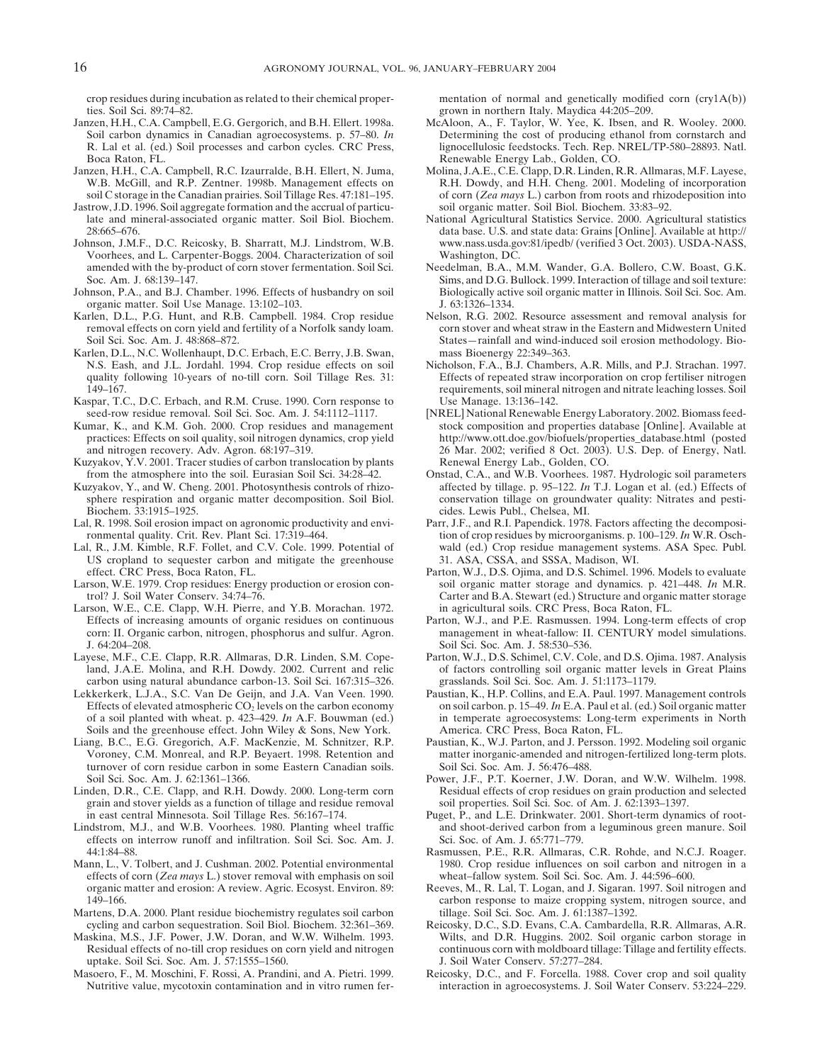- ties. Soil Sci. 89:74–82.<br>Janzen, H.H., C.A. Campbell, E.G. Gergorich, and B.H. Ellert. 1998a. McAloon, A., F. Taylor, W. Yee, K. Ibsen, an Boca Raton, FL. Renewable Energy Lab., Golden, CO.
- Janzen, H.H., C.A. Campbell, R.C. Izaurralde, B.H. Ellert, N. Juma, Molina, J.A.E., C.E. Clapp, D.R. Linden, R.R. Allmaras, M.F. Layese,
- Jastrow, J.D. 1996. Soil aggregate formation and the accrual of particu- soil organic matter. Soil Biol. Biochem. 33:83–92.
- Johnson, J.M.F., D.C. Reicosky, B. Sharratt, M.J. Lindstrom, W.B. www.nass.usda.gov:<br>81. Voorhees, and L. Carpenter-Boggs. 2004. Characterization of soil Washington, DC. Voorhees, and L. Carpenter-Boggs. 2004. Characterization of soil
- organic matter. Soil Use Manage. 13:102–103.<br>Il 63:1326–1334.<br>Il 63:1326–1334. J. G. 2002. Resource assessment and removal analysis for Nelson, R.G. 2002. Resource assessment and removal analysis for
- Karlen, D.L., P.G. Hunt, and R.B. Campbell. 1984. Crop residue
- Karlen, D.L., N.C. Wollenhaupt, D.C. Erbach, E.C. Berry, J.B. Swan, mass Bioenergy 22:349–363.<br>N.S. Eash, and J.L. Jordahl. 1994. Crop residue effects on soil Nicholson, F.A., B.J. Chamber.
- Kaspar, T.C., D.C. Erbach, and R.M. Cruse. 1990. Corn response to Use Manage. 13:136–142.<br>seed-row residue removal. Soil Sci. Soc. Am. J. 54:1112–1117. [NREL] National Renewable
- 
- Kuzyakov, Y.V. 2001. Tracer studies of carbon translocation by plants Renewal Energy Lab., Golden, CO.
- 
- 
- US cropland to sequester carbon and mitigate the greenhouse
- Larson, W.E. 1979. Crop residues: Energy production or erosion con-
- Larson, W.E., C.E. Clapp, W.H. Pierre, and Y.B. Morachan. 1972. in agricultural soils. CRC Press, Boca Raton, FL.<br>Effects of increasing amounts of organic residues on continuous Parton, W.J., and P.E. Rasmussen. 1994. Long Effects of increasing amounts of organic residues on continuous
- Layese, M.F., C.E. Clapp, R.R. Allmaras, D.R. Linden, S.M. Cope-<br>land, J.A.E. Molina, and R.H. Dowdy. 2002. Current and relic
- carbon using natural abundance carbon-13. Soil Sci. 167:315–326. grasslands. Soil Sci. Soc. Am. J. 51:1173–1179. kkerkerk, L.J.A., S.C. Van De Geijn, and J.A. Van Veen. 1990. Paustian, K., H.P. Collins, and E.A. Paul. 1997. Management controls Effects of elevated atmospheric CO<sub>2</sub> levels on the carbon economy on soil carbon. p. 15–49 Soils and the greenhouse effect. John Wiley & Sons, New York.
- Liang, B.C., E.G. Gregorich, A.F. MacKenzie, M. Schnitzer, R.P. Paustian, K., W.J. Parton, and J. Persson. 1992. Modeling soil organic turnover of corn residue carbon in some Eastern Canadian soils. Soil Sci. Soc. Am. J. 56:476–488. Soil Sci. Soc. Am. J. 62:1361–1366. Power, J.F., P.T. Koerner, J.W. Doran, and W.W. Wilhelm. 1998.
- grain and stover yields as a function of tillage and residue removal
- effects on interrow runoff and infiltration. Soil Sci. Soc. Am. J. 44:1:84–88. Rasmussen, P.E., R.R. Allmaras, C.R. Rohde, and N.C.J. Roager.
- effects of corn (*Zea mays* L.) stover removal with emphasis on soil organic matter and erosion: A review. Agric. Ecosyst. Environ. 89: Reeves, M., R. Lal, T. Logan, and J. Sigaran. 1997. Soil nitrogen and
- Martens, D.A. 2000. Plant residue biochemistry regulates soil carbon tillage. Soil Sci. Soc. Am. J. 61:1387–1392. cycling and carbon sequestration. Soil Biol. Biochem. 32:361–369. Reicosky, D.C., S.D. Evans, C.A. Cambardella, R.R. Allmaras, A.R.
- uptake. Soil Sci. Soc. Am. J. 57:1555-1560. J. Soil Water Conserv. 57:277-284.<br>Masoero, F., M. Moschini, F. Rossi, A. Prandini, and A. Pietri. 1999. Reicosky, D.C., and F. Forcella. 1988.
- 

crop residues during incubation as related to their chemical proper- mentation of normal and genetically modified corn (cry1A(b))

- nzen, H.H., C.A. Campbell, E.G. Gergorich, and B.H. Ellert. 1998a. McAloon, A., F. Taylor, W. Yee, K. Ibsen, and R. Wooley. 2000.<br>Soil carbon dynamics in Canadian agroecosystems. p. 57-80. In Determining the cost of produc Determining the cost of producing ethanol from cornstarch and R. Lal et al. (ed.) Soil processes and carbon cycles. CRC Press, lignocellulosic feedstocks. Tech. Rep. NREL/TP-580–28893. Natl.
- R.H. Dowdy, and H.H. Cheng. 2001. Modeling of incorporation soil C storage in the Canadian prairies. Soil Tillage Res. 47:181–195. of corn (*Zea mays* L.) carbon from roots and rhizodeposition into
- National Agricultural Statistics Service. 2000. Agricultural statistics 28:665–676. data base. U.S. and state data: Grains [Online]. Available at http://
- amended with the by-product of corn stover fermentation. Soil Sci. Needelman, B.A., M.M. Wander, G.A. Bollero, C.W. Boast, G.K. Soc. Am. J. 68:139–147. Sims, and D.G. Bullock. 1999. Interaction of tillage and soil texture: Sims, and D.G. Bullock. 1999. Interaction of tillage and soil texture: Johnson, P.A., and B.J. Chamber. 1996. Effects of husbandry on soil Biologically active soil organic matter in Illinois. Soil Sci. Soc. Am.
	- removal effects on corn yield and fertility of a Norfolk sandy loam. corn stover and wheat straw in the Eastern and Midwestern United<br>States—rainfall and wind-induced soil erosion methodology. Bio-<br>States—rainfall and wind States—rainfall and wind-induced soil erosion methodology. Bio-
	- Nicholson, F.A., B.J. Chambers, A.R. Mills, and P.J. Strachan. 1997. quality following 10-years of no-till corn. Soil Tillage Res. 31: Effects of repeated straw incorporation on crop fertiliser nitrogen 149–167. requirements, soil mineral nitrogen and nitrate leaching losses. Soil
- [NREL] National Renewable Energy Laboratory. 2002. Biomass feed-Kumar, K., and K.M. Goh. 2000. Crop residues and management stock composition and properties database [Online]. Available at practices: Effects on soil quality, soil nitrogen dynamics, crop yield http://www.ott.doe.gov/biofuels/properties\_database.html (posted and nitrogen recovery. Adv. Agron. 68:197-319. 26 Mar. 2002; verified 8 Oct. 2003). U. 26 Mar. 2002; verified 8 Oct. 2003). U.S. Dep. of Energy, Natl.
- from the atmosphere into the soil. Eurasian Soil Sci. 34:28–42. Onstad, C.A., and W.B. Voorhees. 1987. Hydrologic soil parameters Kuzyakov, Y., and W. Cheng. 2001. Photosynthesis controls of rhizo-<br>
difected by tillage. p. affected by tillage. p. 95–122. *In* T.J. Logan et al. (ed.) Effects of sphere respiration and organic matter decomposition. Soil Biol. conservation tillage on groundwater quality: Nitrates and pesti-<br>Biochem. 33:1915–1925. conservation tillage on groundwater quality: Nitrates and pesticides. Lewis Publ., Chelsea, MI.
- Lal, R. 1998. Soil erosion impact on agronomic productivity and envi-<br>
Parr, J.F., and R.I. Papendick. 1978. Factors affecting the decomposironmental quality. Crit. Rev. Plant Sci. 17:319–464. tion of crop residues by microorganisms. p. 100–129. *In* W.R. Osch-Lal, R., J.M. Kimble, R.F. Follet, and C.V. Cole. 1999. Potential of wald (ed.) Crop residue management systems. ASA Spec. Publ.<br>US cropland to sequester carbon and mitigate the greenhouse 31. ASA, CSSA, and SSSA, Madison,
	- effect. CRC Press, Boca Raton, FL. Parton, W.J., D.S. Ojima, and D.S. Schimel. 1996. Models to evaluate rson, W.E. 1979. Crop residues: Energy production or erosion con-<br>soil organic matter storage and dynamics. p. 421–448 trol? J. Soil Water Conserv. 34:74–76. Carter and B.A. Stewart (ed.) Structure and organic matter storage
	- corn: II. Organic carbon, nitrogen, phosphorus and sulfur. Agron. management in wheat-fallow: II. CENTURY model simulations. J. 64:204–208.<br>1987. Nesse, M.F., C.E. Clapp, R.R. Allmaras, D.R. Linden, S.M. Cope-<br>1987. Parton, W.J., D.S. Schimel, C.V. Cole, and D.S. Ojima. 1987. Analysis
		- of factors controlling soil organic matter levels in Great Plains
	- on soil carbon. p. 15–49. *In* E.A. Paul et al. (ed.) Soil organic matter of a soil planted with wheat. p. 423–429. *In* A.F. Bouwman (ed.) in temperate agroecosystems: Long-term experiments in North Soils and the greenhouse effect. John Wiley & Sons, New York. America. CRC Press, Boca Raton, FL
		- matter inorganic-amended and nitrogen-fertilized long-term plots.
- Linden, D.R., C.E. Clapp, and R.H. Dowdy. 2000. Long-term corn Residual effects of crop residues on grain production and selected grain and stover yields as a function of tillage and residue removal soil properties. Soil S
- in east central Minnesota. Soil Tillage Res. 56:167–174. Puget, P., and L.E. Drinkwater. 2001. Short-term dynamics of root-Lindstrom, M.J., and W.B. Voorhees. 1980. Planting wheel traffic and shoot-derived carbon from a leguminous green manure. Soil effects on interrow runoff and infiltration. Soil Sci. Soc. Am. J. Sci. Soc. of Am. J. 65:771–7
- Mann, L., V. Tolbert, and J. Cushman. 2002. Potential environmental 1980. Crop residue influences on soil carbon and nitrogen in a effects of corn (Zea mays L.) stover removal with emphasis on soil wheat-fallow system. Soi
	- 149–166. carbon response to maize cropping system, nitrogen source, and
- Maskina, M.S., J.F. Power, J.W. Doran, and W.W. Wilhelm. 1993. Wilts, and D.R. Huggins. 2002. Soil organic carbon storage in Residual effects of no-till crop residues on corn yield and nitrogen continuous corn with moldboa continuous corn with moldboard tillage: Tillage and fertility effects.
	- Reicosky, D.C., and F. Forcella. 1988. Cover crop and soil quality Nutritive value, mycotoxin contamination and in vitro rumen fer- interaction in agroecosystems. J. Soil Water Conserv. 53:224–229.